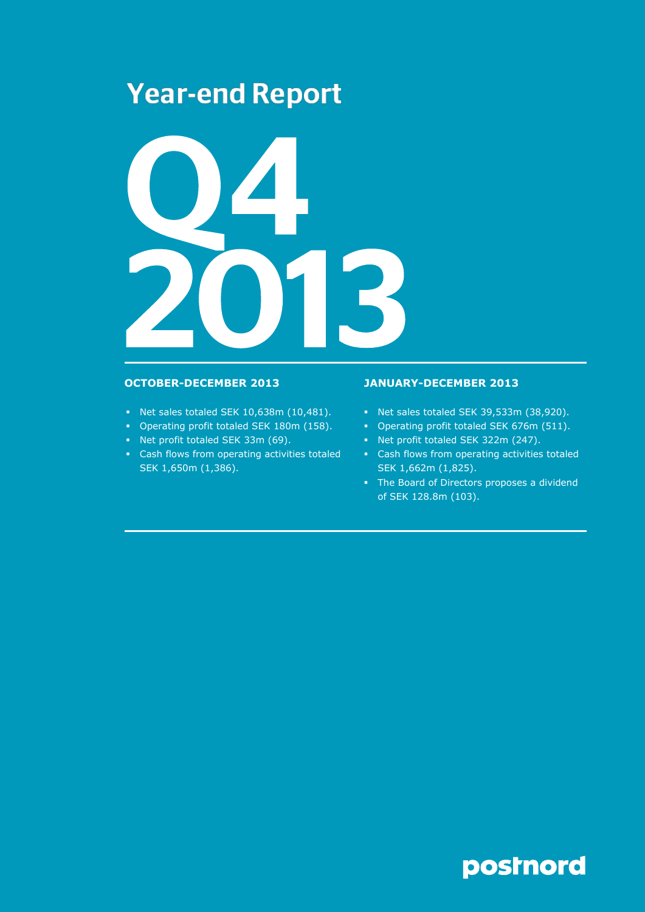# **Year-end Report**



- Net sales totaled SEK 10,638m (10,481).
- Operating profit totaled SEK 180m (158).
- Net profit totaled SEK 33m (69).
- Cash flows from operating activities totaled SEK 1,650m (1,386).

# **OCTOBER-DECEMBER 2013 JANUARY-DECEMBER 2013**

- Net sales totaled SEK 39,533m (38,920).
- Operating profit totaled SEK 676m (511).
- Net profit totaled SEK 322m (247).
- Cash flows from operating activities totaled SEK 1,662m (1,825).
- The Board of Directors proposes a dividend of SEK 128.8m (103).

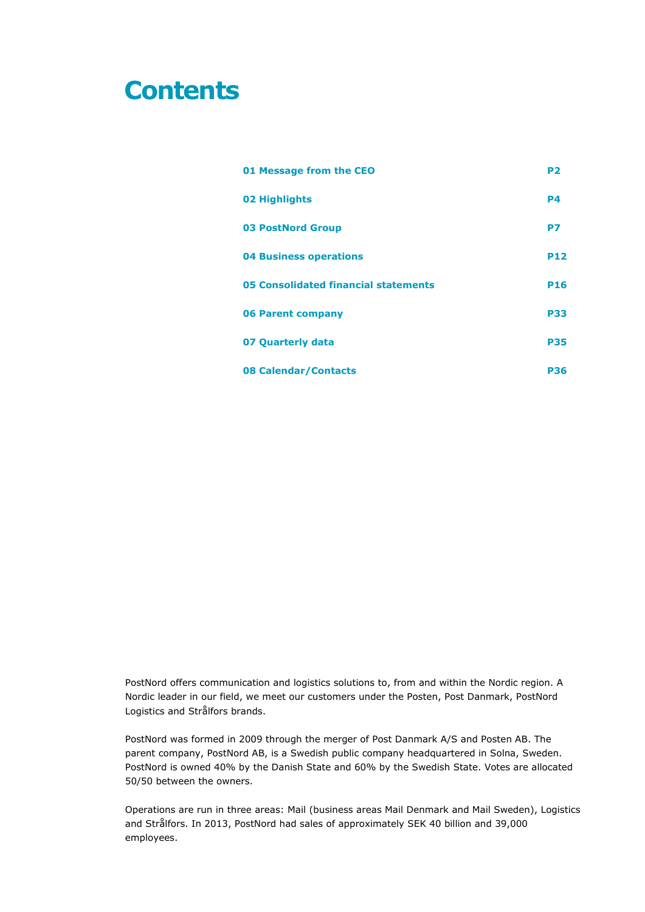# **Contents**

| 01 Message from the CEO              | P <sub>2</sub> |
|--------------------------------------|----------------|
| 02 Highlights                        | <b>P4</b>      |
| <b>03 PostNord Group</b>             | P7             |
| <b>04 Business operations</b>        | <b>P12</b>     |
| 05 Consolidated financial statements | <b>P16</b>     |
| <b>06 Parent company</b>             | <b>P33</b>     |
| 07 Quarterly data                    | <b>P35</b>     |
| 08 Calendar/Contacts                 | <b>P36</b>     |

PostNord offers communication and logistics solutions to, from and within the Nordic region. A Nordic leader in our field, we meet our customers under the Posten, Post Danmark, PostNord Logistics and Strålfors brands.

PostNord was formed in 2009 through the merger of Post Danmark A/S and Posten AB. The parent company, PostNord AB, is a Swedish public company headquartered in Solna, Sweden. PostNord is owned 40% by the Danish State and 60% by the Swedish State. Votes are allocated 50/50 between the owners.

Operations are run in three areas: Mail (business areas Mail Denmark and Mail Sweden), Logistics and Strålfors. In 2013, PostNord had sales of approximately SEK 40 billion and 39,000 employees.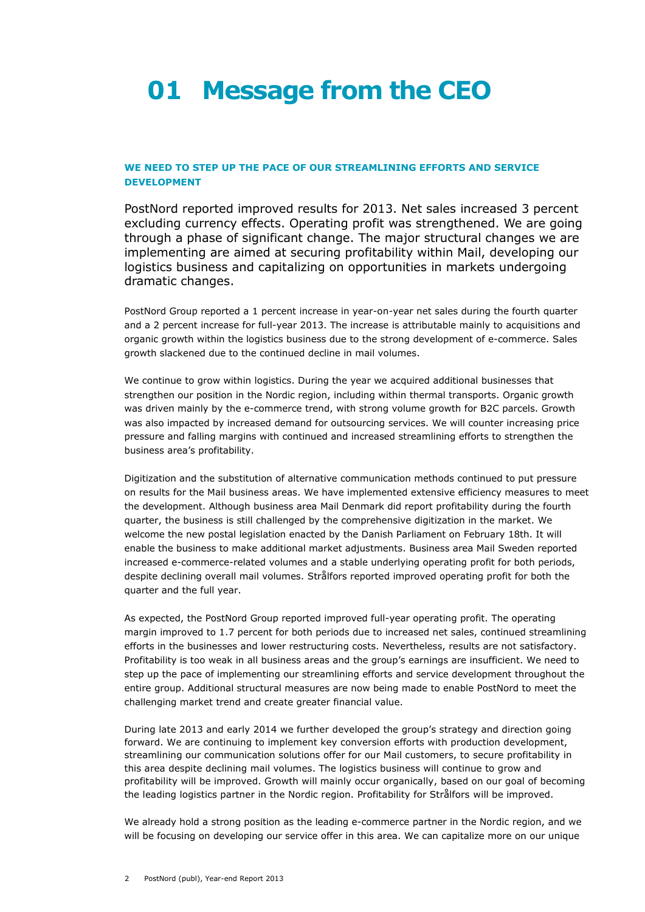# **01 Message from the CEO**

# **WE NEED TO STEP UP THE PACE OF OUR STREAMLINING EFFORTS AND SERVICE DEVELOPMENT**

PostNord reported improved results for 2013. Net sales increased 3 percent excluding currency effects. Operating profit was strengthened. We are going through a phase of significant change. The major structural changes we are implementing are aimed at securing profitability within Mail, developing our logistics business and capitalizing on opportunities in markets undergoing dramatic changes.

PostNord Group reported a 1 percent increase in year-on-year net sales during the fourth quarter and a 2 percent increase for full-year 2013. The increase is attributable mainly to acquisitions and organic growth within the logistics business due to the strong development of e-commerce. Sales growth slackened due to the continued decline in mail volumes.

We continue to grow within logistics. During the year we acquired additional businesses that strengthen our position in the Nordic region, including within thermal transports. Organic growth was driven mainly by the e-commerce trend, with strong volume growth for B2C parcels. Growth was also impacted by increased demand for outsourcing services. We will counter increasing price pressure and falling margins with continued and increased streamlining efforts to strengthen the business area's profitability.

Digitization and the substitution of alternative communication methods continued to put pressure on results for the Mail business areas. We have implemented extensive efficiency measures to meet the development. Although business area Mail Denmark did report profitability during the fourth quarter, the business is still challenged by the comprehensive digitization in the market. We welcome the new postal legislation enacted by the Danish Parliament on February 18th. It will enable the business to make additional market adjustments. Business area Mail Sweden reported increased e-commerce-related volumes and a stable underlying operating profit for both periods, despite declining overall mail volumes. Strålfors reported improved operating profit for both the quarter and the full year.

As expected, the PostNord Group reported improved full-year operating profit. The operating margin improved to 1.7 percent for both periods due to increased net sales, continued streamlining efforts in the businesses and lower restructuring costs. Nevertheless, results are not satisfactory. Profitability is too weak in all business areas and the group's earnings are insufficient. We need to step up the pace of implementing our streamlining efforts and service development throughout the entire group. Additional structural measures are now being made to enable PostNord to meet the challenging market trend and create greater financial value.

During late 2013 and early 2014 we further developed the group's strategy and direction going forward. We are continuing to implement key conversion efforts with production development, streamlining our communication solutions offer for our Mail customers, to secure profitability in this area despite declining mail volumes. The logistics business will continue to grow and profitability will be improved. Growth will mainly occur organically, based on our goal of becoming the leading logistics partner in the Nordic region. Profitability for Strålfors will be improved.

We already hold a strong position as the leading e-commerce partner in the Nordic region, and we will be focusing on developing our service offer in this area. We can capitalize more on our unique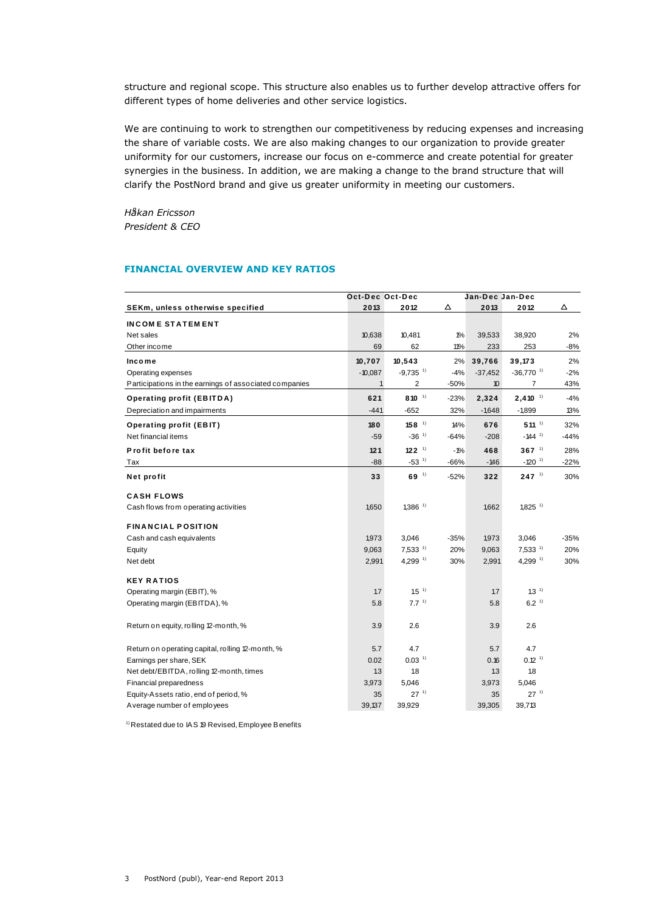structure and regional scope. This structure also enables us to further develop attractive offers for different types of home deliveries and other service logistics.

We are continuing to work to strengthen our competitiveness by reducing expenses and increasing the share of variable costs. We are also making changes to our organization to provide greater uniformity for our customers, increase our focus on e-commerce and create potential for greater synergies in the business. In addition, we are making a change to the brand structure that will clarify the PostNord brand and give us greater uniformity in meeting our customers.

*Håkan Ericsson President & CEO*

# **FINANCIAL OVERVIEW AND KEY RATIOS**

|                                                        | Oct-Dec Oct-Dec | Jan-Dec Jan-Dec        |        |                  |                         |        |
|--------------------------------------------------------|-----------------|------------------------|--------|------------------|-------------------------|--------|
| SEKm, unless otherwise specified                       | 2013            | 2012                   | Δ      | 2013             | 2012                    | Δ      |
| <b>INCOME STATEMENT</b>                                |                 |                        |        |                  |                         |        |
| Net sales                                              | 10,638          | 10,481                 | 1%     | 39,533           | 38,920                  | 2%     |
| Other income                                           | 69              | 62                     | 11%    | 233              | 253                     | -8%    |
| Income                                                 | 10,707          | 10,543                 | 2%     | 39,766           | 39,173                  | 2%     |
| Operating expenses                                     | $-10,087$       | $-9,735$ <sup>1)</sup> | $-4%$  | $-37,452$        | $-36,770$ <sup>1)</sup> | $-2%$  |
| Participations in the earnings of associated companies | $\mathbf{1}$    | 2                      | $-50%$ | 10 <sup>10</sup> | 7                       | 43%    |
| <b>Operating profit (EBITDA)</b>                       | 621             | $810^{-1}$             | $-23%$ | 2,324            | $2,410^{-1}$            | $-4%$  |
| Depreciation and impairments                           | $-441$          | $-652$                 | 32%    | $-1,648$         | $-1,899$                | 13%    |
| <b>Operating profit (EBIT)</b>                         | 180             | $158$ <sup>1)</sup>    | 14%    | 676              | $511^{-1}$              | 32%    |
| Net financial items                                    | $-59$           | $-36^{11}$             | $-64%$ | $-208$           | $-144$ <sup>1)</sup>    | $-44%$ |
| Profit before tax                                      | 121             | $122$ <sup>1)</sup>    | $-1%$  | 468              | $367$ <sup>1)</sup>     | 28%    |
| Tax                                                    | $-88$           | $-53$ <sup>1)</sup>    | -66%   | $-146$           | $-120$ <sup>1)</sup>    | $-22%$ |
| Net profit                                             | 33              | $69-1$                 | $-52%$ | 322              | $247^{11}$              | 30%    |
| <b>CASH FLOWS</b>                                      |                 |                        |        |                  |                         |        |
| Cash flows from operating activities                   | 1,650           | $1,386$ <sup>1)</sup>  |        | 1,662            | $1,825$ <sup>1)</sup>   |        |
| <b>FINANCIAL POSITION</b>                              |                 |                        |        |                  |                         |        |
| Cash and cash equivalents                              | 1,973           | 3,046                  | $-35%$ | 1,973            | 3,046                   | $-35%$ |
| Equity                                                 | 9,063           | $7,533$ <sup>1)</sup>  | 20%    | 9,063            | $7,533$ <sup>1)</sup>   | 20%    |
| Net debt                                               | 2,991           | $4,299$ <sup>1)</sup>  | 30%    | 2,991            | $4,299$ <sup>1)</sup>   | 30%    |
| <b>KEY RATIOS</b>                                      |                 |                        |        |                  |                         |        |
| Operating margin (EBIT), %                             | 1.7             | $1.5$ <sup>1)</sup>    |        | 1.7              | 1.3 <sup>1</sup>        |        |
| Operating margin (EBITDA), %                           | 5.8             | 7.7 <sup>1</sup>       |        | 5.8              | 6.2 <sup>1</sup>        |        |
| Return on equity, rolling 12-month, %                  | 3.9             | 2.6                    |        | 3.9              | 2.6                     |        |
| Return on operating capital, rolling 12-month, %       | 5.7             | 4.7                    |        | 5.7              | 4.7                     |        |
| Earnings per share, SEK                                | 0.02            | $0.03-1$               |        | 0.16             | $0.12-1$                |        |
| Net debt/EBITDA, rolling 12-month, times               | 1.3             | 1.8                    |        | 13               | 1.8                     |        |
| Financial preparedness                                 | 3,973           | 5,046                  |        | 3,973            | 5,046                   |        |
| Equity-Assets ratio, end of period, %                  | 35              | $27^{11}$              |        | 35               | $27^{-1}$               |        |
| A verage number of employees                           | 39.137          | 39,929                 |        | 39,305           | 39,713                  |        |

<sup>1)</sup> Restated due to IAS 19 Revised, Employee Benefits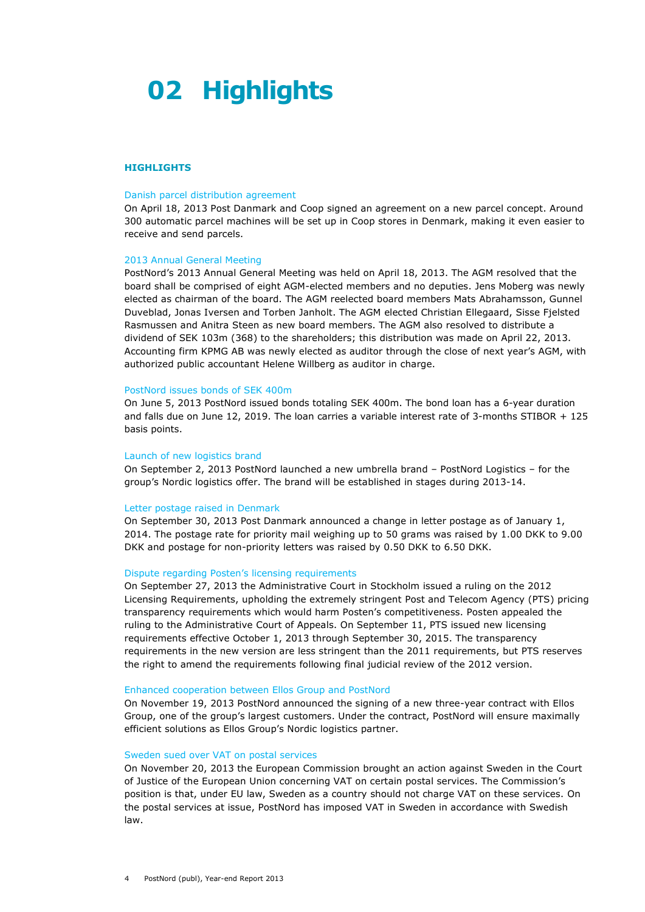# **02 Highlights**

# **HIGHLIGHTS**

#### Danish parcel distribution agreement

On April 18, 2013 Post Danmark and Coop signed an agreement on a new parcel concept. Around 300 automatic parcel machines will be set up in Coop stores in Denmark, making it even easier to receive and send parcels.

#### 2013 Annual General Meeting

PostNord's 2013 Annual General Meeting was held on April 18, 2013. The AGM resolved that the board shall be comprised of eight AGM-elected members and no deputies. Jens Moberg was newly elected as chairman of the board. The AGM reelected board members Mats Abrahamsson, Gunnel Duveblad, Jonas Iversen and Torben Janholt. The AGM elected Christian Ellegaard, Sisse Fjelsted Rasmussen and Anitra Steen as new board members. The AGM also resolved to distribute a dividend of SEK 103m (368) to the shareholders; this distribution was made on April 22, 2013. Accounting firm KPMG AB was newly elected as auditor through the close of next year's AGM, with authorized public accountant Helene Willberg as auditor in charge.

#### PostNord issues bonds of SEK 400m

On June 5, 2013 PostNord issued bonds totaling SEK 400m. The bond loan has a 6-year duration and falls due on June 12, 2019. The loan carries a variable interest rate of 3-months STIBOR + 125 basis points.

#### Launch of new logistics brand

On September 2, 2013 PostNord launched a new umbrella brand – PostNord Logistics – for the group's Nordic logistics offer. The brand will be established in stages during 2013-14.

#### Letter postage raised in Denmark

On September 30, 2013 Post Danmark announced a change in letter postage as of January 1, 2014. The postage rate for priority mail weighing up to 50 grams was raised by 1.00 DKK to 9.00 DKK and postage for non-priority letters was raised by 0.50 DKK to 6.50 DKK.

### Dispute regarding Posten's licensing requirements

On September 27, 2013 the Administrative Court in Stockholm issued a ruling on the 2012 Licensing Requirements, upholding the extremely stringent Post and Telecom Agency (PTS) pricing transparency requirements which would harm Posten's competitiveness. Posten appealed the ruling to the Administrative Court of Appeals. On September 11, PTS issued new licensing requirements effective October 1, 2013 through September 30, 2015. The transparency requirements in the new version are less stringent than the 2011 requirements, but PTS reserves the right to amend the requirements following final judicial review of the 2012 version.

#### Enhanced cooperation between Ellos Group and PostNord

On November 19, 2013 PostNord announced the signing of a new three-year contract with Ellos Group, one of the group's largest customers. Under the contract, PostNord will ensure maximally efficient solutions as Ellos Group's Nordic logistics partner.

#### Sweden sued over VAT on postal services

On November 20, 2013 the European Commission brought an action against Sweden in the Court of Justice of the European Union concerning VAT on certain postal services. The Commission's position is that, under EU law, Sweden as a country should not charge VAT on these services. On the postal services at issue, PostNord has imposed VAT in Sweden in accordance with Swedish law.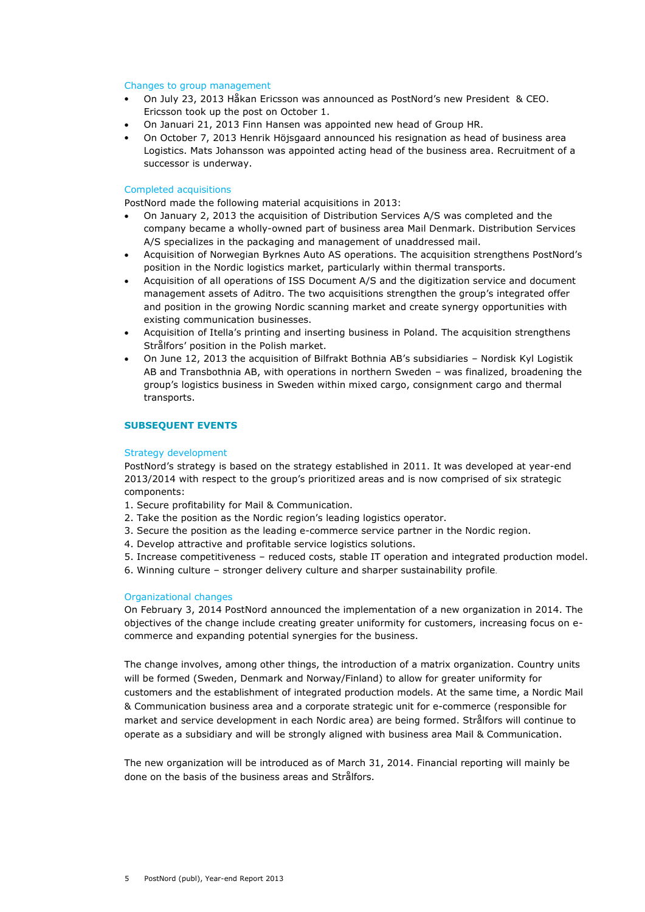### Changes to group management

- On July 23, 2013 Håkan Ericsson was announced as PostNord's new President & CEO. Ericsson took up the post on October 1.
- On Januari 21, 2013 Finn Hansen was appointed new head of Group HR.
- On October 7, 2013 Henrik Höjsgaard announced his resignation as head of business area Logistics. Mats Johansson was appointed acting head of the business area. Recruitment of a successor is underway.

### Completed acquisitions

PostNord made the following material acquisitions in 2013:

- On January 2, 2013 the acquisition of Distribution Services A/S was completed and the company became a wholly-owned part of business area Mail Denmark. Distribution Services A/S specializes in the packaging and management of unaddressed mail.
- Acquisition of Norwegian Byrknes Auto AS operations. The acquisition strengthens PostNord's position in the Nordic logistics market, particularly within thermal transports.
- Acquisition of all operations of ISS Document A/S and the digitization service and document management assets of Aditro. The two acquisitions strengthen the group's integrated offer and position in the growing Nordic scanning market and create synergy opportunities with existing communication businesses.
- Acquisition of Itella's printing and inserting business in Poland. The acquisition strengthens Strålfors' position in the Polish market.
- On June 12, 2013 the acquisition of Bilfrakt Bothnia AB's subsidiaries Nordisk Kyl Logistik AB and Transbothnia AB, with operations in northern Sweden – was finalized, broadening the group's logistics business in Sweden within mixed cargo, consignment cargo and thermal transports.

# **SUBSEQUENT EVENTS**

#### Strategy development

PostNord's strategy is based on the strategy established in 2011. It was developed at year-end 2013/2014 with respect to the group's prioritized areas and is now comprised of six strategic components:

- 1. Secure profitability for Mail & Communication.
- 2. Take the position as the Nordic region's leading logistics operator.
- 3. Secure the position as the leading e-commerce service partner in the Nordic region.
- 4. Develop attractive and profitable service logistics solutions.
- 5. Increase competitiveness reduced costs, stable IT operation and integrated production model.
- 6. Winning culture stronger delivery culture and sharper sustainability profile

### Organizational changes

On February 3, 2014 PostNord announced the implementation of a new organization in 2014. The objectives of the change include creating greater uniformity for customers, increasing focus on ecommerce and expanding potential synergies for the business.

The change involves, among other things, the introduction of a matrix organization. Country units will be formed (Sweden, Denmark and Norway/Finland) to allow for greater uniformity for customers and the establishment of integrated production models. At the same time, a Nordic Mail & Communication business area and a corporate strategic unit for e-commerce (responsible for market and service development in each Nordic area) are being formed. Strålfors will continue to operate as a subsidiary and will be strongly aligned with business area Mail & Communication.

The new organization will be introduced as of March 31, 2014. Financial reporting will mainly be done on the basis of the business areas and Strålfors.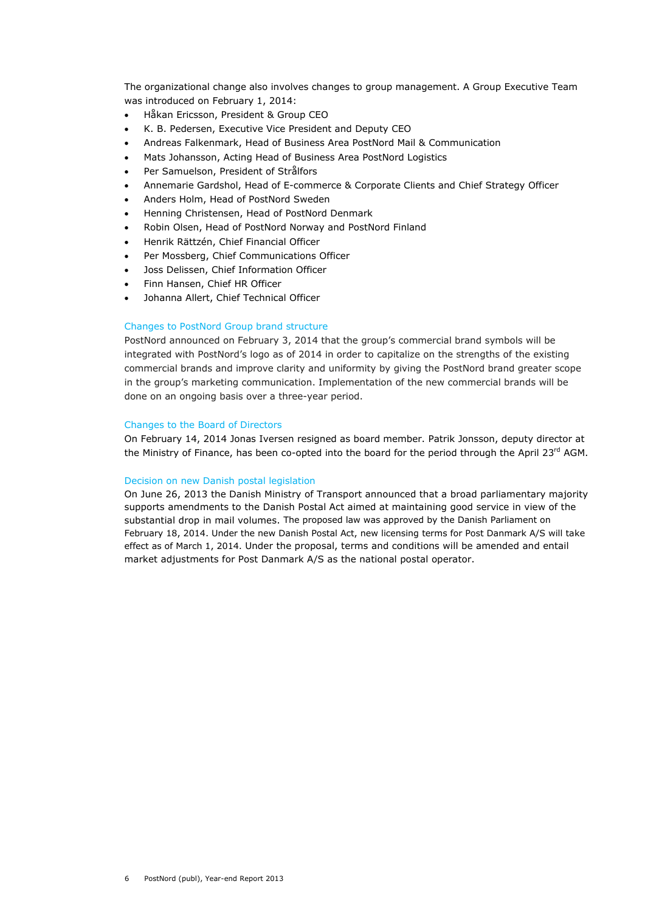The organizational change also involves changes to group management. A Group Executive Team was introduced on February 1, 2014:

- Håkan Ericsson, President & Group CEO
- K. B. Pedersen, Executive Vice President and Deputy CEO
- Andreas Falkenmark, Head of Business Area PostNord Mail & Communication
- Mats Johansson, Acting Head of Business Area PostNord Logistics
- Per Samuelson, President of Strålfors
- Annemarie Gardshol, Head of E-commerce & Corporate Clients and Chief Strategy Officer
- Anders Holm, Head of PostNord Sweden
- Henning Christensen, Head of PostNord Denmark
- Robin Olsen, Head of PostNord Norway and PostNord Finland
- Henrik Rättzén, Chief Financial Officer
- Per Mossberg, Chief Communications Officer
- Joss Delissen, Chief Information Officer
- Finn Hansen, Chief HR Officer
- Johanna Allert, Chief Technical Officer

# Changes to PostNord Group brand structure

PostNord announced on February 3, 2014 that the group's commercial brand symbols will be integrated with PostNord's logo as of 2014 in order to capitalize on the strengths of the existing commercial brands and improve clarity and uniformity by giving the PostNord brand greater scope in the group's marketing communication. Implementation of the new commercial brands will be done on an ongoing basis over a three-year period.

# Changes to the Board of Directors

On February 14, 2014 Jonas Iversen resigned as board member. Patrik Jonsson, deputy director at the Ministry of Finance, has been co-opted into the board for the period through the April 23rd AGM.

# Decision on new Danish postal legislation

On June 26, 2013 the Danish Ministry of Transport announced that a broad parliamentary majority supports amendments to the Danish Postal Act aimed at maintaining good service in view of the substantial drop in mail volumes. The proposed law was approved by the Danish Parliament on February 18, 2014. Under the new Danish Postal Act, new licensing terms for Post Danmark A/S will take effect as of March 1, 2014. Under the proposal, terms and conditions will be amended and entail market adjustments for Post Danmark A/S as the national postal operator.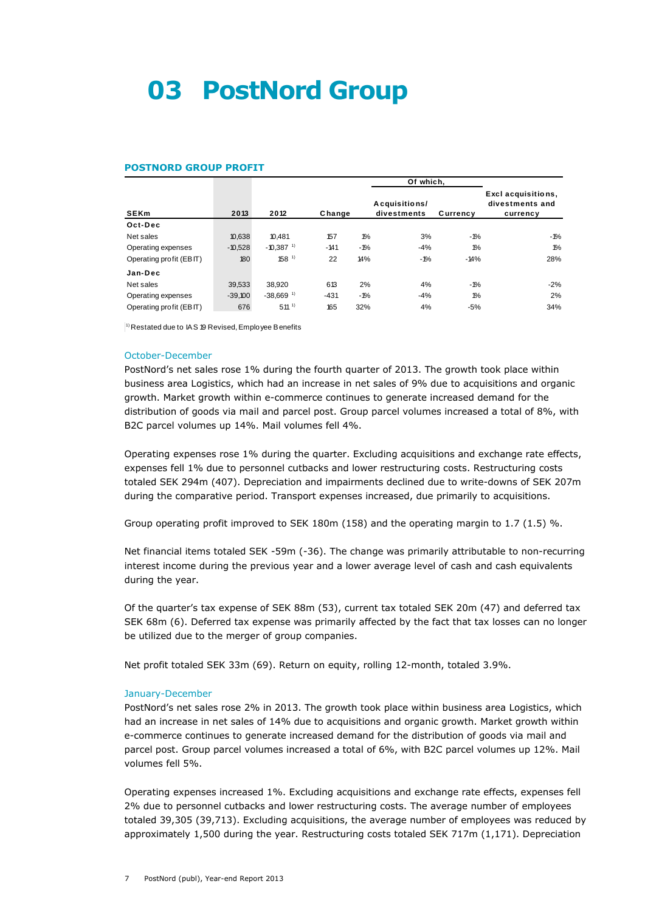# **03 PostNord Group**

### **POSTNORD GROUP PROFIT**

| <b>POSTNORD GROUP PROFIT</b> |           |                         |        |                 |                              |                 |                                                   |
|------------------------------|-----------|-------------------------|--------|-----------------|------------------------------|-----------------|---------------------------------------------------|
|                              |           |                         |        |                 | Of which.                    |                 |                                                   |
| <b>SEKm</b>                  | 2013      | 2012                    | Change |                 | Acquisitions/<br>divestments | Currency        | Excl acquisitions,<br>divestments and<br>currency |
| Oct-Dec                      |           |                         |        |                 |                              |                 |                                                   |
| Net sales                    | 10,638    | 10.481                  | 157    | 10 <sub>0</sub> | 3%                           | $-1\%$          | -1%                                               |
| Operating expenses           | $-10,528$ | $-10.387$ <sup>1)</sup> | $-141$ | -1%             | $-4%$                        | 10 <sub>0</sub> | $1\%$                                             |
| Operating profit (EBIT)      | 180       | 158 <sup>1</sup>        | 22     | 14%             | $-1\%$                       | $-14%$          | 28%                                               |
| Jan-Dec                      |           |                         |        |                 |                              |                 |                                                   |
| Net sales                    | 39,533    | 38.920                  | 613    | 2%              | 4%                           | $-1%$           | $-2%$                                             |
| Operating expenses           | $-39,100$ | $-38,669$ <sup>1)</sup> | $-431$ | $-1%$           | $-4%$                        | 10 <sub>0</sub> | 2%                                                |
| Operating profit (EBIT)      | 676       | $511^{11}$              | 165    | 32%             | 4%                           | $-5%$           | 34%                                               |

 $|$ <sup>1)</sup> Restated due to IAS 19 Revised, Employee Benefits

### October-December

PostNord's net sales rose 1% during the fourth quarter of 2013. The growth took place within business area Logistics, which had an increase in net sales of 9% due to acquisitions and organic growth. Market growth within e-commerce continues to generate increased demand for the distribution of goods via mail and parcel post. Group parcel volumes increased a total of 8%, with B2C parcel volumes up 14%. Mail volumes fell 4%.

Operating expenses rose 1% during the quarter. Excluding acquisitions and exchange rate effects, expenses fell 1% due to personnel cutbacks and lower restructuring costs. Restructuring costs totaled SEK 294m (407). Depreciation and impairments declined due to write-downs of SEK 207m during the comparative period. Transport expenses increased, due primarily to acquisitions.

Group operating profit improved to SEK 180m (158) and the operating margin to 1.7 (1.5) %.

Net financial items totaled SEK -59m (-36). The change was primarily attributable to non-recurring interest income during the previous year and a lower average level of cash and cash equivalents during the year.

Of the quarter's tax expense of SEK 88m (53), current tax totaled SEK 20m (47) and deferred tax SEK 68m (6). Deferred tax expense was primarily affected by the fact that tax losses can no longer be utilized due to the merger of group companies.

Net profit totaled SEK 33m (69). Return on equity, rolling 12-month, totaled 3.9%.

#### January-December

PostNord's net sales rose 2% in 2013. The growth took place within business area Logistics, which had an increase in net sales of 14% due to acquisitions and organic growth. Market growth within e-commerce continues to generate increased demand for the distribution of goods via mail and parcel post. Group parcel volumes increased a total of 6%, with B2C parcel volumes up 12%. Mail volumes fell 5%.

Operating expenses increased 1%. Excluding acquisitions and exchange rate effects, expenses fell 2% due to personnel cutbacks and lower restructuring costs. The average number of employees totaled 39,305 (39,713). Excluding acquisitions, the average number of employees was reduced by approximately 1,500 during the year. Restructuring costs totaled SEK 717m (1,171). Depreciation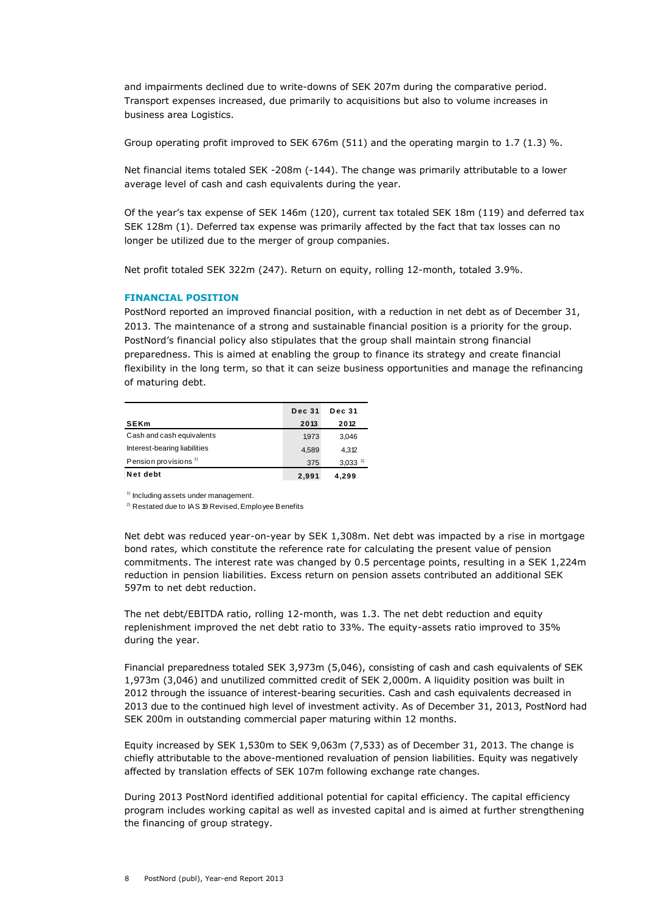and impairments declined due to write-downs of SEK 207m during the comparative period. Transport expenses increased, due primarily to acquisitions but also to volume increases in business area Logistics.

Group operating profit improved to SEK 676m (511) and the operating margin to 1.7 (1.3) %.

Net financial items totaled SEK -208m (-144). The change was primarily attributable to a lower average level of cash and cash equivalents during the year.

Of the year's tax expense of SEK 146m (120), current tax totaled SEK 18m (119) and deferred tax SEK 128m (1). Deferred tax expense was primarily affected by the fact that tax losses can no longer be utilized due to the merger of group companies.

Net profit totaled SEK 322m (247). Return on equity, rolling 12-month, totaled 3.9%.

# **FINANCIAL POSITION**

PostNord reported an improved financial position, with a reduction in net debt as of December 31, 2013. The maintenance of a strong and sustainable financial position is a priority for the group. PostNord's financial policy also stipulates that the group shall maintain strong financial preparedness. This is aimed at enabling the group to finance its strategy and create financial flexibility in the long term, so that it can seize business opportunities and manage the refinancing of maturing debt.

|                                  | <b>Dec 31</b> | <b>Dec 31</b> |
|----------------------------------|---------------|---------------|
| <b>SEKm</b>                      | 2013          | 2012          |
| Cash and cash equivalents        | 1.973         | 3,046         |
| Interest-bearing liabilities     | 4.589         | 4.312         |
| Pension provisions <sup>1)</sup> | 375           | $3,033^{2}$   |
| Net debt                         | 2.991         | 4.299         |

<sup>1)</sup> Including assets under management.

<sup>2)</sup> Restated due to IAS 19 Revised, Employee Benefits

Net debt was reduced year-on-year by SEK 1,308m. Net debt was impacted by a rise in mortgage bond rates, which constitute the reference rate for calculating the present value of pension commitments. The interest rate was changed by 0.5 percentage points, resulting in a SEK 1,224m reduction in pension liabilities. Excess return on pension assets contributed an additional SEK 597m to net debt reduction.

The net debt/EBITDA ratio, rolling 12-month, was 1.3. The net debt reduction and equity replenishment improved the net debt ratio to 33%. The equity-assets ratio improved to 35% during the year.

Financial preparedness totaled SEK 3,973m (5,046), consisting of cash and cash equivalents of SEK 1,973m (3,046) and unutilized committed credit of SEK 2,000m. A liquidity position was built in 2012 through the issuance of interest-bearing securities. Cash and cash equivalents decreased in 2013 due to the continued high level of investment activity. As of December 31, 2013, PostNord had SEK 200m in outstanding commercial paper maturing within 12 months.

Equity increased by SEK 1,530m to SEK 9,063m (7,533) as of December 31, 2013. The change is chiefly attributable to the above-mentioned revaluation of pension liabilities. Equity was negatively affected by translation effects of SEK 107m following exchange rate changes.

During 2013 PostNord identified additional potential for capital efficiency. The capital efficiency program includes working capital as well as invested capital and is aimed at further strengthening the financing of group strategy.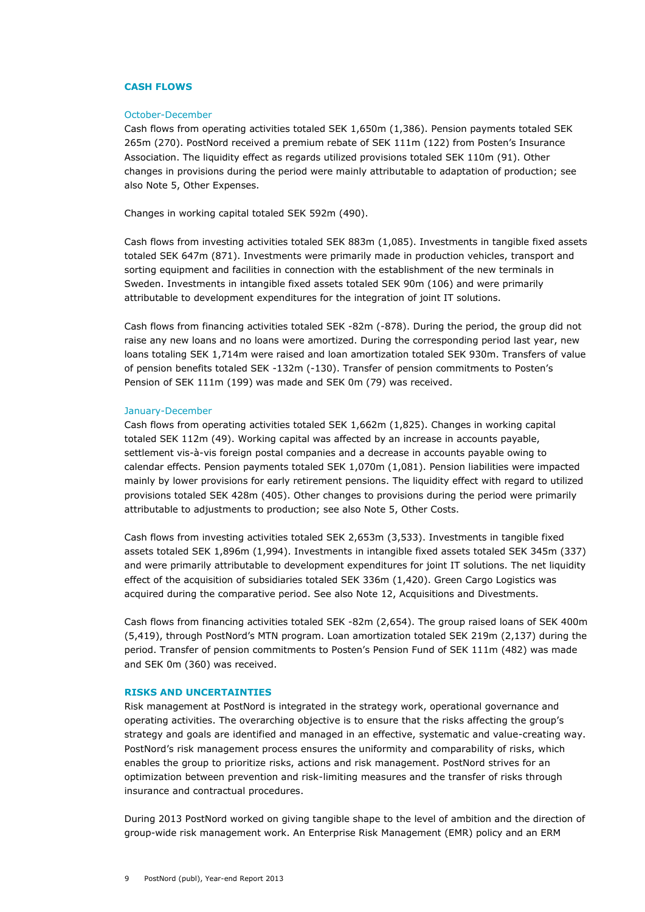#### **CASH FLOWS**

#### October-December

Cash flows from operating activities totaled SEK 1,650m (1,386). Pension payments totaled SEK 265m (270). PostNord received a premium rebate of SEK 111m (122) from Posten's Insurance Association. The liquidity effect as regards utilized provisions totaled SEK 110m (91). Other changes in provisions during the period were mainly attributable to adaptation of production; see also Note 5, Other Expenses.

Changes in working capital totaled SEK 592m (490).

Cash flows from investing activities totaled SEK 883m (1,085). Investments in tangible fixed assets totaled SEK 647m (871). Investments were primarily made in production vehicles, transport and sorting equipment and facilities in connection with the establishment of the new terminals in Sweden. Investments in intangible fixed assets totaled SEK 90m (106) and were primarily attributable to development expenditures for the integration of joint IT solutions.

Cash flows from financing activities totaled SEK -82m (-878). During the period, the group did not raise any new loans and no loans were amortized. During the corresponding period last year, new loans totaling SEK 1,714m were raised and loan amortization totaled SEK 930m. Transfers of value of pension benefits totaled SEK -132m (-130). Transfer of pension commitments to Posten's Pension of SEK 111m (199) was made and SEK 0m (79) was received.

#### January-December

Cash flows from operating activities totaled SEK 1,662m (1,825). Changes in working capital totaled SEK 112m (49). Working capital was affected by an increase in accounts payable, settlement vis-à-vis foreign postal companies and a decrease in accounts payable owing to calendar effects. Pension payments totaled SEK 1,070m (1,081). Pension liabilities were impacted mainly by lower provisions for early retirement pensions. The liquidity effect with regard to utilized provisions totaled SEK 428m (405). Other changes to provisions during the period were primarily attributable to adjustments to production; see also Note 5, Other Costs.

Cash flows from investing activities totaled SEK 2,653m (3,533). Investments in tangible fixed assets totaled SEK 1,896m (1,994). Investments in intangible fixed assets totaled SEK 345m (337) and were primarily attributable to development expenditures for joint IT solutions. The net liquidity effect of the acquisition of subsidiaries totaled SEK 336m (1,420). Green Cargo Logistics was acquired during the comparative period. See also Note 12, Acquisitions and Divestments.

Cash flows from financing activities totaled SEK -82m (2,654). The group raised loans of SEK 400m (5,419), through PostNord's MTN program. Loan amortization totaled SEK 219m (2,137) during the period. Transfer of pension commitments to Posten's Pension Fund of SEK 111m (482) was made and SEK 0m (360) was received.

# **RISKS AND UNCERTAINTIES**

Risk management at PostNord is integrated in the strategy work, operational governance and operating activities. The overarching objective is to ensure that the risks affecting the group's strategy and goals are identified and managed in an effective, systematic and value-creating way. PostNord's risk management process ensures the uniformity and comparability of risks, which enables the group to prioritize risks, actions and risk management. PostNord strives for an optimization between prevention and risk-limiting measures and the transfer of risks through insurance and contractual procedures.

During 2013 PostNord worked on giving tangible shape to the level of ambition and the direction of group-wide risk management work. An Enterprise Risk Management (EMR) policy and an ERM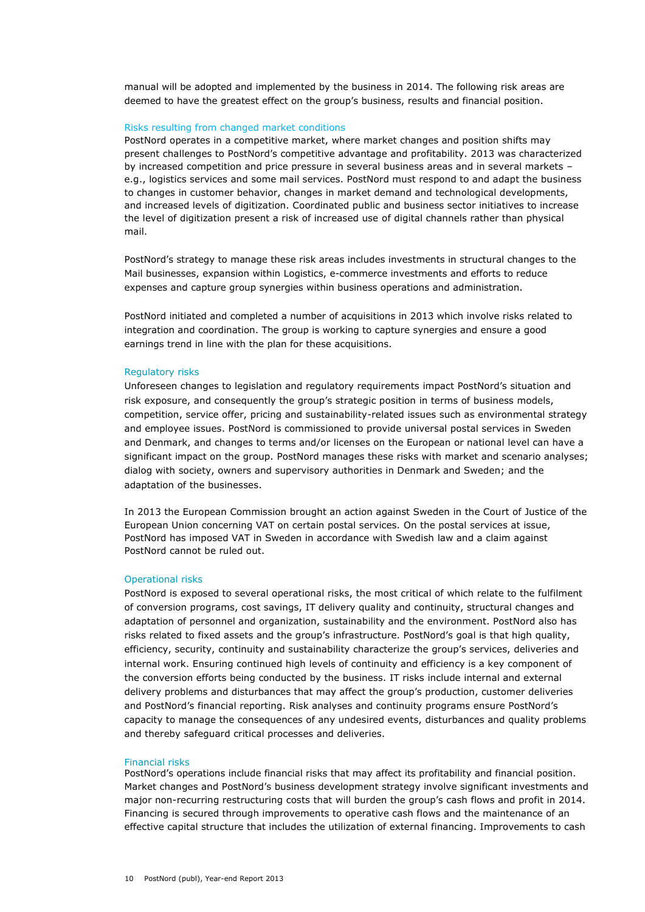manual will be adopted and implemented by the business in 2014. The following risk areas are deemed to have the greatest effect on the group's business, results and financial position.

#### Risks resulting from changed market conditions

PostNord operates in a competitive market, where market changes and position shifts may present challenges to PostNord's competitive advantage and profitability. 2013 was characterized by increased competition and price pressure in several business areas and in several markets – e.g., logistics services and some mail services. PostNord must respond to and adapt the business to changes in customer behavior, changes in market demand and technological developments, and increased levels of digitization. Coordinated public and business sector initiatives to increase the level of digitization present a risk of increased use of digital channels rather than physical mail.

PostNord's strategy to manage these risk areas includes investments in structural changes to the Mail businesses, expansion within Logistics, e-commerce investments and efforts to reduce expenses and capture group synergies within business operations and administration.

PostNord initiated and completed a number of acquisitions in 2013 which involve risks related to integration and coordination. The group is working to capture synergies and ensure a good earnings trend in line with the plan for these acquisitions.

#### Regulatory risks

Unforeseen changes to legislation and regulatory requirements impact PostNord's situation and risk exposure, and consequently the group's strategic position in terms of business models, competition, service offer, pricing and sustainability-related issues such as environmental strategy and employee issues. PostNord is commissioned to provide universal postal services in Sweden and Denmark, and changes to terms and/or licenses on the European or national level can have a significant impact on the group. PostNord manages these risks with market and scenario analyses; dialog with society, owners and supervisory authorities in Denmark and Sweden; and the adaptation of the businesses.

In 2013 the European Commission brought an action against Sweden in the Court of Justice of the European Union concerning VAT on certain postal services. On the postal services at issue, PostNord has imposed VAT in Sweden in accordance with Swedish law and a claim against PostNord cannot be ruled out.

### Operational risks

PostNord is exposed to several operational risks, the most critical of which relate to the fulfilment of conversion programs, cost savings, IT delivery quality and continuity, structural changes and adaptation of personnel and organization, sustainability and the environment. PostNord also has risks related to fixed assets and the group's infrastructure. PostNord's goal is that high quality, efficiency, security, continuity and sustainability characterize the group's services, deliveries and internal work. Ensuring continued high levels of continuity and efficiency is a key component of the conversion efforts being conducted by the business. IT risks include internal and external delivery problems and disturbances that may affect the group's production, customer deliveries and PostNord's financial reporting. Risk analyses and continuity programs ensure PostNord's capacity to manage the consequences of any undesired events, disturbances and quality problems and thereby safeguard critical processes and deliveries.

#### Financial risks

PostNord's operations include financial risks that may affect its profitability and financial position. Market changes and PostNord's business development strategy involve significant investments and major non-recurring restructuring costs that will burden the group's cash flows and profit in 2014. Financing is secured through improvements to operative cash flows and the maintenance of an effective capital structure that includes the utilization of external financing. Improvements to cash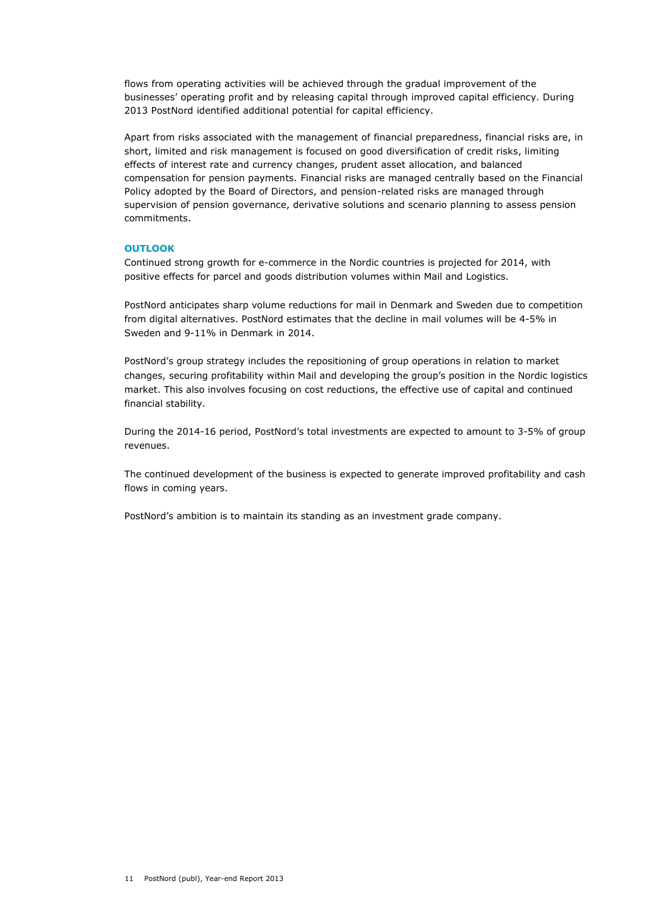flows from operating activities will be achieved through the gradual improvement of the businesses' operating profit and by releasing capital through improved capital efficiency. During 2013 PostNord identified additional potential for capital efficiency.

Apart from risks associated with the management of financial preparedness, financial risks are, in short, limited and risk management is focused on good diversification of credit risks, limiting effects of interest rate and currency changes, prudent asset allocation, and balanced compensation for pension payments. Financial risks are managed centrally based on the Financial Policy adopted by the Board of Directors, and pension-related risks are managed through supervision of pension governance, derivative solutions and scenario planning to assess pension commitments.

# **OUTLOOK**

Continued strong growth for e-commerce in the Nordic countries is projected for 2014, with positive effects for parcel and goods distribution volumes within Mail and Logistics.

PostNord anticipates sharp volume reductions for mail in Denmark and Sweden due to competition from digital alternatives. PostNord estimates that the decline in mail volumes will be 4-5% in Sweden and 9-11% in Denmark in 2014.

PostNord's group strategy includes the repositioning of group operations in relation to market changes, securing profitability within Mail and developing the group's position in the Nordic logistics market. This also involves focusing on cost reductions, the effective use of capital and continued financial stability.

During the 2014-16 period, PostNord's total investments are expected to amount to 3-5% of group revenues.

The continued development of the business is expected to generate improved profitability and cash flows in coming years.

PostNord's ambition is to maintain its standing as an investment grade company.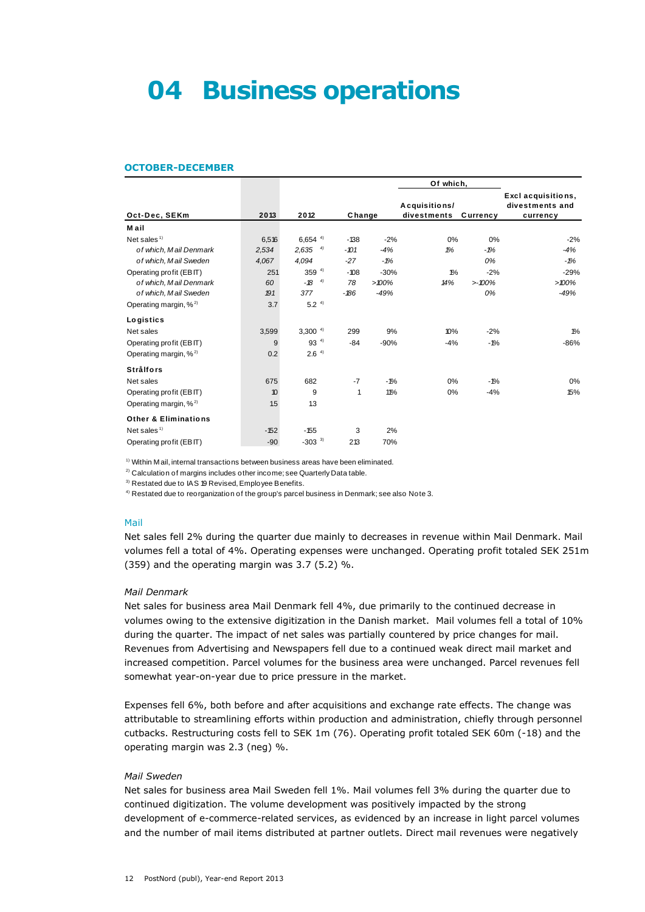# **04 Business operations**

#### **OCTOBER-DECEMBER**

|                                   |        |                       |        |          | Of which,                    |          |                                                   |
|-----------------------------------|--------|-----------------------|--------|----------|------------------------------|----------|---------------------------------------------------|
| Oct-Dec, SEKm                     | 2013   | 2012                  | Change |          | Acquisitions/<br>divestments | Currency | Excl acquisitions,<br>divestments and<br>currency |
| M ail                             |        |                       |        |          |                              |          |                                                   |
| Net sales $1$                     | 6,516  | $6,654$ <sup>4)</sup> | $-138$ | $-2%$    | 0%                           | 0%       | $-2%$                                             |
| of which, Mail Denmark            | 2,534  | 4)<br>2,635           | $-101$ | $-4%$    | 1%                           | $-1%$    | $-4%$                                             |
| of which, Mail Sweden             | 4,067  | 4,094                 | $-27$  | $-1%$    |                              | 0%       | $-1%$                                             |
| Operating profit (EBIT)           | 251    | 359 $4$               | $-108$ | $-30%$   | $1\%$                        | $-2%$    | $-29%$                                            |
| of which, Mail Denmark            | 60     | 4)<br>-18             | 78     | $>100\%$ | 14%                          | >100%    | $>100\%$                                          |
| of which, Mail Sweden             | 191    | 377                   | $-186$ | $-49%$   |                              | 0%       | $-49%$                                            |
| Operating margin, % <sup>2)</sup> | 3.7    | 5.2 <sup>4</sup>      |        |          |                              |          |                                                   |
| Logistics                         |        |                       |        |          |                              |          |                                                   |
| Net sales                         | 3,599  | $3,300^{4}$           | 299    | 9%       | 10%                          | $-2%$    | $1\%$                                             |
| Operating profit (EBIT)           | 9      | $93^{4}$              | $-84$  | $-90%$   | $-4%$                        | $-1%$    | $-86%$                                            |
| Operating margin, $\%^{2}$        | 0.2    | 2.6 <sup>4</sup>      |        |          |                              |          |                                                   |
| <b>Strålfors</b>                  |        |                       |        |          |                              |          |                                                   |
| Net sales                         | 675    | 682                   | $-7$   | $-1%$    | 0%                           | $-1%$    | 0%                                                |
| Operating profit (EBIT)           | 10     | 9                     | 1      | 11%      | 0%                           | $-4%$    | 15%                                               |
| Operating margin, $\%^{2}$        | 1.5    | 1.3                   |        |          |                              |          |                                                   |
| <b>Other &amp; Eliminations</b>   |        |                       |        |          |                              |          |                                                   |
| Net sales $1$                     | $-152$ | $-155$                | 3      | 2%       |                              |          |                                                   |
| Operating profit (EBIT)           | $-90$  | $-303$ <sup>3)</sup>  | 213    | 70%      |                              |          |                                                   |

 $<sup>1)</sup>$  Within M ail, internal transactions between business areas have been eliminated.</sup> <sup>1)</sup> Within Mail, internal transactions between business areas have been elir<br><sup>2)</sup> Calculation of margins includes other income; see Quarterly Data table.

2) Calculation of margins includes other income; see Q<br><sup>3)</sup> Restated due to IAS 19 Revised, Employee Benefits.

<sup>3)</sup> Restated due to IAS 19 Revised, Employee Benefits.<br><sup>4)</sup> Restated due to reorganization of the group's parcel business in Denmark; see also Note 3.

#### Mail

Net sales fell 2% during the quarter due mainly to decreases in revenue within Mail Denmark. Mail volumes fell a total of 4%. Operating expenses were unchanged. Operating profit totaled SEK 251m (359) and the operating margin was 3.7 (5.2) %.

#### *Mail Denmark*

Net sales for business area Mail Denmark fell 4%, due primarily to the continued decrease in volumes owing to the extensive digitization in the Danish market. Mail volumes fell a total of 10% during the quarter. The impact of net sales was partially countered by price changes for mail. Revenues from Advertising and Newspapers fell due to a continued weak direct mail market and increased competition. Parcel volumes for the business area were unchanged. Parcel revenues fell somewhat year-on-year due to price pressure in the market.

Expenses fell 6%, both before and after acquisitions and exchange rate effects. The change was attributable to streamlining efforts within production and administration, chiefly through personnel cutbacks. Restructuring costs fell to SEK 1m (76). Operating profit totaled SEK 60m (-18) and the operating margin was 2.3 (neg) %.

# *Mail Sweden*

Net sales for business area Mail Sweden fell 1%. Mail volumes fell 3% during the quarter due to continued digitization. The volume development was positively impacted by the strong development of e-commerce-related services, as evidenced by an increase in light parcel volumes and the number of mail items distributed at partner outlets. Direct mail revenues were negatively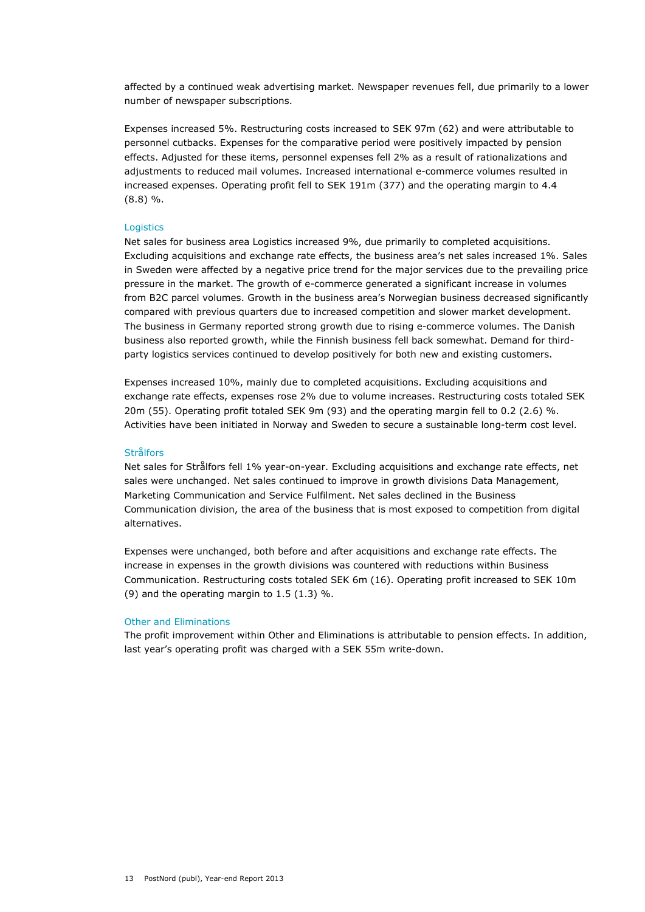affected by a continued weak advertising market. Newspaper revenues fell, due primarily to a lower number of newspaper subscriptions.

Expenses increased 5%. Restructuring costs increased to SEK 97m (62) and were attributable to personnel cutbacks. Expenses for the comparative period were positively impacted by pension effects. Adjusted for these items, personnel expenses fell 2% as a result of rationalizations and adjustments to reduced mail volumes. Increased international e-commerce volumes resulted in increased expenses. Operating profit fell to SEK 191m (377) and the operating margin to 4.4 (8.8) %.

# **Logistics**

Net sales for business area Logistics increased 9%, due primarily to completed acquisitions. Excluding acquisitions and exchange rate effects, the business area's net sales increased 1%. Sales in Sweden were affected by a negative price trend for the major services due to the prevailing price pressure in the market. The growth of e-commerce generated a significant increase in volumes from B2C parcel volumes. Growth in the business area's Norwegian business decreased significantly compared with previous quarters due to increased competition and slower market development. The business in Germany reported strong growth due to rising e-commerce volumes. The Danish business also reported growth, while the Finnish business fell back somewhat. Demand for thirdparty logistics services continued to develop positively for both new and existing customers.

Expenses increased 10%, mainly due to completed acquisitions. Excluding acquisitions and exchange rate effects, expenses rose 2% due to volume increases. Restructuring costs totaled SEK 20m (55). Operating profit totaled SEK 9m (93) and the operating margin fell to 0.2 (2.6) %. Activities have been initiated in Norway and Sweden to secure a sustainable long-term cost level.

# **Strålfors**

Net sales for Strålfors fell 1% year-on-year. Excluding acquisitions and exchange rate effects, net sales were unchanged. Net sales continued to improve in growth divisions Data Management, Marketing Communication and Service Fulfilment. Net sales declined in the Business Communication division, the area of the business that is most exposed to competition from digital alternatives.

Expenses were unchanged, both before and after acquisitions and exchange rate effects. The increase in expenses in the growth divisions was countered with reductions within Business Communication. Restructuring costs totaled SEK 6m (16). Operating profit increased to SEK 10m (9) and the operating margin to  $1.5$  (1.3) %.

# Other and Eliminations

The profit improvement within Other and Eliminations is attributable to pension effects. In addition, last year's operating profit was charged with a SEK 55m write-down.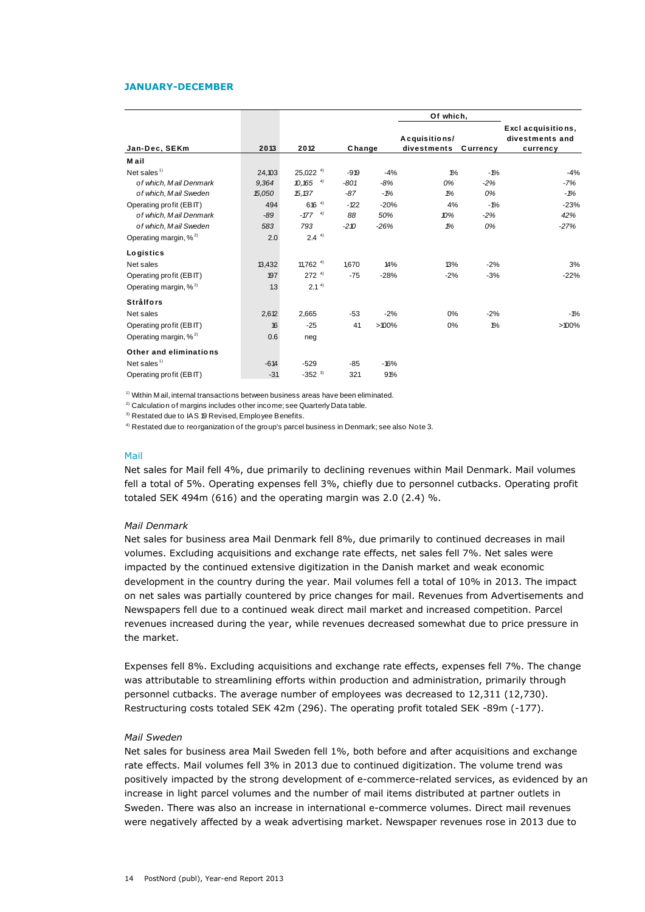#### **JANUARY-DECEMBER**

|                                                                                                                                                                                         |        |                        |        |        | Of which,                    |          |                                                   |
|-----------------------------------------------------------------------------------------------------------------------------------------------------------------------------------------|--------|------------------------|--------|--------|------------------------------|----------|---------------------------------------------------|
| Jan-Dec, SEKm                                                                                                                                                                           | 2013   | 2012                   | Change |        | Acquisitions/<br>divestments | Currency | Excl acquisitions,<br>divestments and<br>currency |
| M ail                                                                                                                                                                                   |        |                        |        |        |                              |          |                                                   |
| Net sales $1$                                                                                                                                                                           | 24,103 | 25,022 4)              | $-919$ | $-4%$  | $1\%$                        | $-1%$    | $-4%$                                             |
| of which, Mail Denmark                                                                                                                                                                  | 9,364  | $10,165$ <sup>4)</sup> | $-801$ | $-8%$  | 0%                           | $-2%$    | $-7%$                                             |
| of which, Mail Sweden                                                                                                                                                                   | 15,050 | 15,137                 | $-87$  | $-1%$  | 1%                           | 0%       | $-1%$                                             |
| Operating profit (EBIT)                                                                                                                                                                 | 494    | $616^{4}$              | $-122$ | $-20%$ | 4%                           | $-1%$    | $-23%$                                            |
| of which, Mail Denmark                                                                                                                                                                  | $-89$  | $-177$ $4)$            | 88     | 50%    | 10%                          | $-2%$    | 42%                                               |
| of which, Mail Sweden                                                                                                                                                                   | 583    | 793                    | $-210$ | $-26%$ | 1%                           | 0%       | $-27%$                                            |
| Operating margin, % <sup>2)</sup>                                                                                                                                                       | 2.0    | $2.4^{4}$              |        |        |                              |          |                                                   |
| Logistics                                                                                                                                                                               |        |                        |        |        |                              |          |                                                   |
| Net sales                                                                                                                                                                               | 13,432 | 11,762 $4$             | 1,670  | 14%    | 13%                          | $-2%$    | 3%                                                |
| Operating profit (EBIT)                                                                                                                                                                 | 197    | $272^{4}$              | $-75$  | $-28%$ | $-2%$                        | $-3%$    | $-22%$                                            |
| Operating margin, % <sup>2)</sup>                                                                                                                                                       | 1.3    | 2.1 <sup>4</sup>       |        |        |                              |          |                                                   |
| <b>Strålfors</b>                                                                                                                                                                        |        |                        |        |        |                              |          |                                                   |
| Net sales                                                                                                                                                                               | 2,612  | 2.665                  | $-53$  | $-2%$  | 0%                           | $-2%$    | $-1%$                                             |
| Operating profit (EBIT)                                                                                                                                                                 | 16     | $-25$                  | 41     | >100%  | 0%                           | $1\%$    | $>100\%$                                          |
| Operating margin, % <sup>2)</sup>                                                                                                                                                       | 0.6    | neg                    |        |        |                              |          |                                                   |
| Other and eliminations                                                                                                                                                                  |        |                        |        |        |                              |          |                                                   |
| Net sales $1$                                                                                                                                                                           | $-614$ | $-529$                 | $-85$  | $-16%$ |                              |          |                                                   |
| Operating profit (EBIT)                                                                                                                                                                 | $-31$  | $-352$ <sup>3)</sup>   | 321    | 91%    |                              |          |                                                   |
| <sup>1)</sup> Within M ail, internal transactions between business areas have been eliminated.<br><sup>2)</sup> Calculation of margins includes other income; see Quarterly Data table. |        |                        |        |        |                              |          |                                                   |

<sup>2)</sup> Calculation of margins includes other income; see Quarterly Data table.<br><sup>3)</sup> Restated due to IAS 19 Revised, Employee Benefits.

<sup>4)</sup> Restated due to reorganization of the group's parcel business in Denmark; see also Note 3.

#### Mail

Net sales for Mail fell 4%, due primarily to declining revenues within Mail Denmark. Mail volumes fell a total of 5%. Operating expenses fell 3%, chiefly due to personnel cutbacks. Operating profit totaled SEK 494m (616) and the operating margin was 2.0 (2.4) %.

#### *Mail Denmark*

Net sales for business area Mail Denmark fell 8%, due primarily to continued decreases in mail volumes. Excluding acquisitions and exchange rate effects, net sales fell 7%. Net sales were impacted by the continued extensive digitization in the Danish market and weak economic development in the country during the year. Mail volumes fell a total of 10% in 2013. The impact on net sales was partially countered by price changes for mail. Revenues from Advertisements and Newspapers fell due to a continued weak direct mail market and increased competition. Parcel revenues increased during the year, while revenues decreased somewhat due to price pressure in the market.

Expenses fell 8%. Excluding acquisitions and exchange rate effects, expenses fell 7%. The change was attributable to streamlining efforts within production and administration, primarily through personnel cutbacks. The average number of employees was decreased to 12,311 (12,730). Restructuring costs totaled SEK 42m (296). The operating profit totaled SEK -89m (-177).

#### *Mail Sweden*

Net sales for business area Mail Sweden fell 1%, both before and after acquisitions and exchange rate effects. Mail volumes fell 3% in 2013 due to continued digitization. The volume trend was positively impacted by the strong development of e-commerce-related services, as evidenced by an increase in light parcel volumes and the number of mail items distributed at partner outlets in Sweden. There was also an increase in international e-commerce volumes. Direct mail revenues were negatively affected by a weak advertising market. Newspaper revenues rose in 2013 due to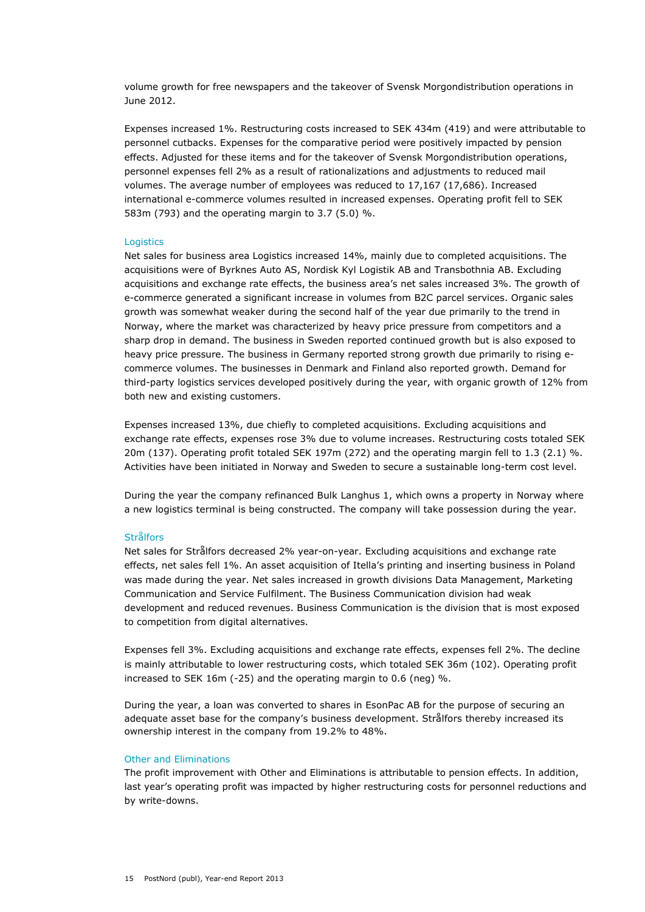volume growth for free newspapers and the takeover of Svensk Morgondistribution operations in June 2012.

Expenses increased 1%. Restructuring costs increased to SEK 434m (419) and were attributable to personnel cutbacks. Expenses for the comparative period were positively impacted by pension effects. Adjusted for these items and for the takeover of Svensk Morgondistribution operations, personnel expenses fell 2% as a result of rationalizations and adjustments to reduced mail volumes. The average number of employees was reduced to 17,167 (17,686). Increased international e-commerce volumes resulted in increased expenses. Operating profit fell to SEK 583m (793) and the operating margin to 3.7 (5.0) %.

### Logistics

Net sales for business area Logistics increased 14%, mainly due to completed acquisitions. The acquisitions were of Byrknes Auto AS, Nordisk Kyl Logistik AB and Transbothnia AB. Excluding acquisitions and exchange rate effects, the business area's net sales increased 3%. The growth of e-commerce generated a significant increase in volumes from B2C parcel services. Organic sales growth was somewhat weaker during the second half of the year due primarily to the trend in Norway, where the market was characterized by heavy price pressure from competitors and a sharp drop in demand. The business in Sweden reported continued growth but is also exposed to heavy price pressure. The business in Germany reported strong growth due primarily to rising ecommerce volumes. The businesses in Denmark and Finland also reported growth. Demand for third-party logistics services developed positively during the year, with organic growth of 12% from both new and existing customers.

Expenses increased 13%, due chiefly to completed acquisitions. Excluding acquisitions and exchange rate effects, expenses rose 3% due to volume increases. Restructuring costs totaled SEK 20m (137). Operating profit totaled SEK 197m (272) and the operating margin fell to 1.3 (2.1) %. Activities have been initiated in Norway and Sweden to secure a sustainable long-term cost level.

During the year the company refinanced Bulk Langhus 1, which owns a property in Norway where a new logistics terminal is being constructed. The company will take possession during the year.

# **Strålfors**

Net sales for Strålfors decreased 2% year-on-year. Excluding acquisitions and exchange rate effects, net sales fell 1%. An asset acquisition of Itella's printing and inserting business in Poland was made during the year. Net sales increased in growth divisions Data Management, Marketing Communication and Service Fulfilment. The Business Communication division had weak development and reduced revenues. Business Communication is the division that is most exposed to competition from digital alternatives.

Expenses fell 3%. Excluding acquisitions and exchange rate effects, expenses fell 2%. The decline is mainly attributable to lower restructuring costs, which totaled SEK 36m (102). Operating profit increased to SEK 16m (-25) and the operating margin to 0.6 (neg) %.

During the year, a loan was converted to shares in EsonPac AB for the purpose of securing an adequate asset base for the company's business development. Strålfors thereby increased its ownership interest in the company from 19.2% to 48%.

# Other and Eliminations

The profit improvement with Other and Eliminations is attributable to pension effects. In addition, last year's operating profit was impacted by higher restructuring costs for personnel reductions and by write-downs.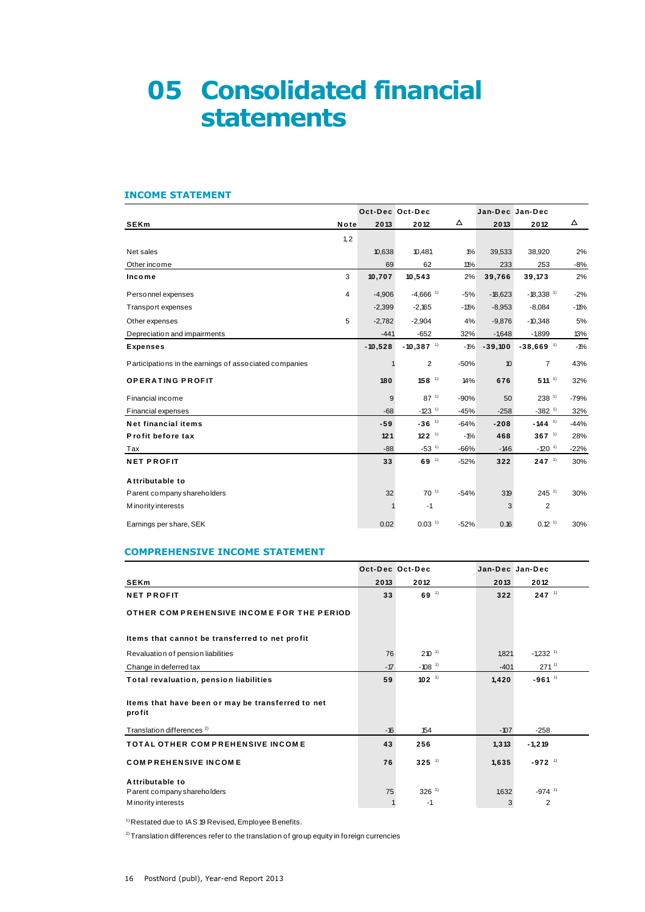# **05 Consolidated financial statements**

# **INCOME STATEMENT**

| <b>INCOME STATEMENT</b>                                |      |           |                         |        |                 |                         |        |
|--------------------------------------------------------|------|-----------|-------------------------|--------|-----------------|-------------------------|--------|
|                                                        |      |           | Oct-Dec Oct-Dec         |        | Jan-Dec Jan-Dec |                         |        |
| <b>SEKm</b>                                            | Note | 2013      | 2012                    | Δ      | 2013            | 2012                    | Δ      |
|                                                        | 1,2  |           |                         |        |                 |                         |        |
| Net sales                                              |      | 10,638    | 10,481                  | $1\%$  | 39,533          | 38,920                  | 2%     |
| Other income                                           |      | 69        | 62                      | 11%    | 233             | 253                     | $-8%$  |
| Income                                                 | 3    | 10,707    | 10,543                  | 2%     | 39,766          | 39,173                  | 2%     |
| Personnel expenses                                     | 4    | $-4,906$  | $-4,666$ <sup>1)</sup>  | $-5%$  | $-18,623$       | $-18,338$ <sup>1)</sup> | $-2%$  |
| Transport expenses                                     |      | $-2,399$  | $-2,165$                | $-11%$ | $-8,953$        | $-8,084$                | $-11%$ |
| Other expenses                                         | 5    | $-2,782$  | $-2.904$                | 4%     | $-9,876$        | $-10,348$               | 5%     |
| Depreciation and impairments                           |      | $-441$    | $-652$                  | 32%    | $-1,648$        | $-1,899$                | 13%    |
| <b>Expenses</b>                                        |      | $-10,528$ | $-10,387$ <sup>1)</sup> | $-1%$  | $-39,100$       | $-38,669$ <sup>1)</sup> | $-1%$  |
| Participations in the earnings of associated companies |      |           | $\overline{2}$          | $-50%$ | 10              | $\overline{7}$          | 43%    |
| <b>OPERATING PROFIT</b>                                |      | 180       | $158$ <sup>1)</sup>     | 14%    | 676             | $511^{-1}$              | 32%    |
| Financial income                                       |      | 9         | $87^{11}$               | $-90%$ | 50              | $238$ <sup>1)</sup>     | $-79%$ |
| <b>Financial expenses</b>                              |      | $-68$     | $-123$ <sup>1)</sup>    | $-45%$ | $-258$          | $-382$ <sup>1)</sup>    | 32%    |
| Net financial items                                    |      | $-59$     | $-36$ <sup>1)</sup>     | $-64%$ | $-208$          | $-144$ <sup>1)</sup>    | $-44%$ |
| Profit before tax                                      |      | 121       | $122^{11}$              | $-1%$  | 468             | $367$ <sup>1)</sup>     | 28%    |
| Tax                                                    |      | $-88$     | $-53$ <sup>1)</sup>     | $-66%$ | $-146$          | $-120$ <sup>1)</sup>    | $-22%$ |
| <b>NET PROFIT</b>                                      |      | 33        | 69 <sup>1</sup>         | $-52%$ | 322             | $247^{11}$              | 30%    |
| Attributable to                                        |      |           |                         |        |                 |                         |        |
| Parent company shareholders                            |      | 32        | $70^{-1}$               | $-54%$ | 319             | $245$ <sup>1)</sup>     | 30%    |
| M ino rity interests                                   |      | 1         | $-1$                    |        | 3               | 2                       |        |
| Earnings per share, SEK                                |      | 0.02      | $0.03$ <sup>1)</sup>    | $-52%$ | 0.16            | $0.12-1$                | 30%    |

# **COMPREHENSIVE INCOME STATEMENT**

|       |                      | Jan-Dec Jan-Dec       |                        |
|-------|----------------------|-----------------------|------------------------|
| 2013  | 2012                 | 2013                  | 2012                   |
| 33    | 69 <sup>1</sup>      | 322                   | $247^{11}$             |
|       |                      |                       |                        |
|       |                      |                       |                        |
| 76    | $210^{-1}$           | 1,821                 | $-1,232$ <sup>1)</sup> |
| $-17$ | $-108$ <sup>1)</sup> | $-401$                | $271^{11}$             |
| 59    | $102^{11}$           | 1,420                 | $-961^{11}$            |
|       |                      |                       |                        |
| $-16$ | 154                  | $-107$                | $-258$                 |
| 43    | 256                  | 1, 313                | $-1,219$               |
| 76    | $325$ <sup>1)</sup>  | 1,635                 | $-972$ <sup>1)</sup>   |
|       |                      |                       |                        |
|       | $326$ <sup>1)</sup>  | 1,632                 | $-974$ <sup>1)</sup>   |
|       |                      | Oct-Dec Oct-Dec<br>75 |                        |

 $1)$  Restated due to IAS 19 Revised, Employee Benefits.

 $2)$  Translation differences refer to the translation of group equity in foreign currencies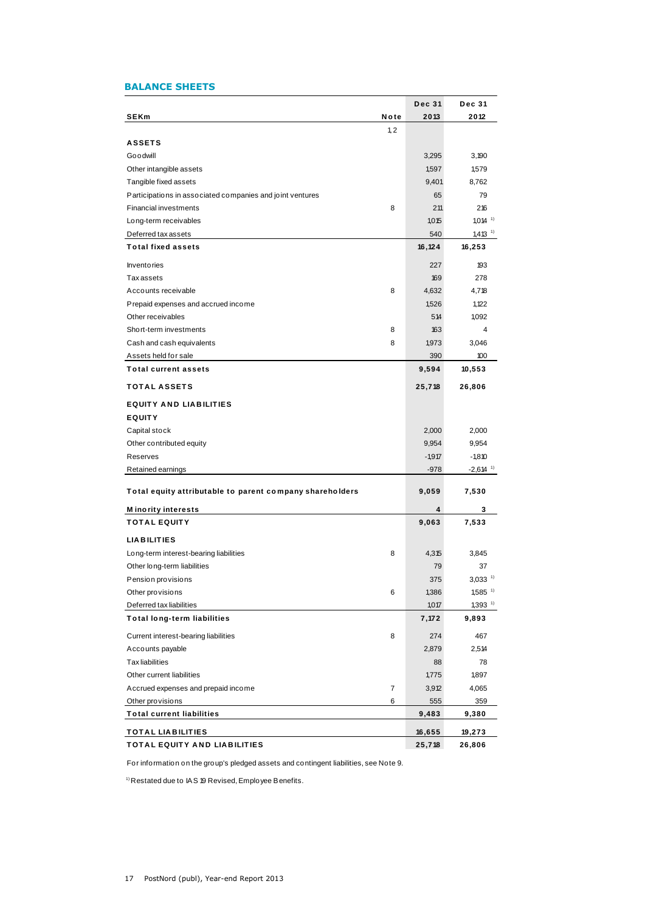# **BALANCE SHEETS**

| <b>BALANCE SHEETS</b>                                     |      |               |                        |
|-----------------------------------------------------------|------|---------------|------------------------|
|                                                           |      | <b>Dec 31</b> | <b>Dec 31</b>          |
| <b>SEKm</b>                                               | Note | 2013          | 2012                   |
|                                                           | 1, 2 |               |                        |
| <b>ASSETS</b>                                             |      |               |                        |
| Goodwill                                                  |      | 3,295         | 3,190                  |
| Other intangible assets                                   |      | 1,597         | 1,579                  |
| Tangible fixed assets                                     |      | 9,401         | 8,762                  |
| Participations in associated companies and joint ventures |      | 65            | 79                     |
| <b>Financial investments</b>                              | 8    | 211           | 216                    |
| Long-term receivables                                     |      | 1,015         | $1,014$ <sup>1)</sup>  |
| Deferred tax assets                                       |      | 540           | $1,413$ <sup>1)</sup>  |
| <b>Total fixed assets</b>                                 |      | 16,124        | 16,253                 |
| <b>Inventories</b>                                        |      | 227           | 193                    |
| <b>Taxassets</b>                                          |      | 169           | 278                    |
| Accounts receivable                                       | 8    | 4,632         | 4,718                  |
| Prepaid expenses and accrued income                       |      | 1,526         | 1,122                  |
| Other receivables                                         |      | 514           | 1,092                  |
| Short-term investments                                    | 8    | 163           | 4                      |
| Cash and cash equivalents                                 | 8    | 1,973         | 3,046                  |
| Assets held for sale                                      |      | 390           | 100                    |
| <b>Total current assets</b>                               |      | 9,594         | 10,553                 |
| <b>TOTAL ASSETS</b>                                       |      | 25,718        | 26,806                 |
| <b>EQUITY AND LIABILITIES</b>                             |      |               |                        |
| <b>EQUITY</b>                                             |      |               |                        |
| Capital stock                                             |      | 2,000         | 2,000                  |
| Other contributed equity                                  |      | 9,954         | 9,954                  |
| Reserves                                                  |      | $-1,917$      | $-1,810$               |
| Retained earnings                                         |      | $-978$        | $-2,614$ <sup>1)</sup> |
| Total equity attributable to parent company shareholders  |      | 9,059         | 7,530                  |
| <b>Minority interests</b>                                 |      | 4             | 3                      |
| <b>TOTAL EQUITY</b>                                       |      | 9,063         | 7,533                  |
| <b>LIABILITIES</b>                                        |      |               |                        |
| Long-term interest-bearing liabilities                    | 8    | 4,315         | 3,845                  |
| Other long-term liabilities                               |      | 79            | 37                     |
| Pension provisions                                        |      | 375           | $3,033$ <sup>1)</sup>  |
| Other provisions                                          | 6    | 1,386         | $1,585$ <sup>1)</sup>  |
| Deferred tax liabilities                                  |      | 1,017         | $1,393$ <sup>1)</sup>  |
| <b>Total long-term liabilities</b>                        |      | 7,172         | 9,893                  |
| Current interest-bearing liabilities                      | 8    | 274           | 467                    |
| Accounts payable                                          |      | 2,879         | 2,514                  |
| <b>Tax liabilities</b>                                    |      | 88            | 78                     |
| Other current liabilities                                 |      | 1,775         | 1,897                  |
| Accrued expenses and prepaid income                       | 7    | 3,912         | 4,065                  |
| Other provisions                                          | 6    | 555           | 359                    |
| <b>Total current liabilities</b>                          |      | 9,483         | 9,380                  |
| <b>TOTAL LIABILITIES</b>                                  |      | 16,655        | 19,273                 |
| TOTAL EQUITY AND LIABILITIES                              |      | 25,718        | 26,806                 |

For information on the group's pledged assets and contingent liabilities, see Note 9.

 $1)$  Restated due to IAS 19 Revised, Employee Benefits.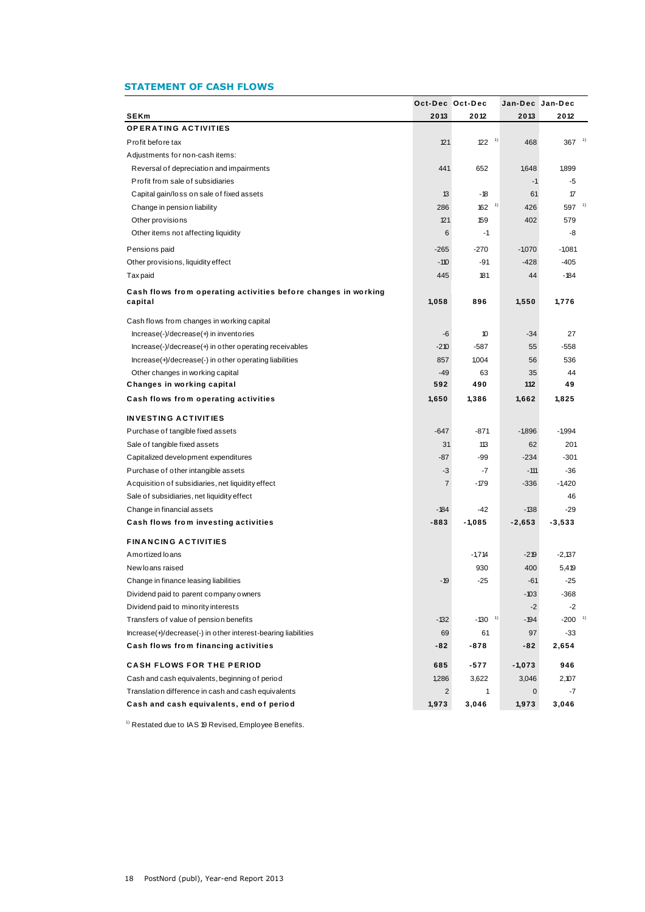# **STATEMENT OF CASH FLOWS**

|                                                                                                       |                | Oct-Dec Oct-Dec                                        |          | Jan-Dec Jan-Dec      |
|-------------------------------------------------------------------------------------------------------|----------------|--------------------------------------------------------|----------|----------------------|
| <b>SEKm</b>                                                                                           | 2013           | 2012                                                   | 2013     | 2012                 |
| <b>OPERATING ACTIVITIES</b>                                                                           |                |                                                        |          |                      |
| Profit before tax                                                                                     | 121            | $\left( \begin{array}{c} 1 \end{array} \right)$<br>122 | 468      | - 1)<br>367          |
| Adjustments for non-cash items:                                                                       |                |                                                        |          |                      |
| Reversal of depreciation and impairments                                                              | 441            | 652                                                    | 1,648    | 1,899                |
| Profit from sale of subsidiaries                                                                      |                |                                                        | $-1$     | -5                   |
| Capital gain/loss on sale of fixed assets                                                             | 13             | $-18$                                                  | 61       | 17                   |
| Change in pension liability                                                                           | 286            | 1)<br>162                                              | 426      | 1)<br>597            |
| Other provisions                                                                                      | 121            | 159                                                    | 402      | 579                  |
| Other items not affecting liquidity                                                                   | 6              | -1                                                     |          | -8                   |
| Pensions paid                                                                                         | $-265$         | $-270$                                                 | $-1,070$ | $-1,081$             |
| Other provisions, liquidity effect                                                                    | $-110$         | $-91$                                                  | $-428$   | $-405$               |
| Tax paid                                                                                              | 445            | 181                                                    | 44       | $-184$               |
| Cash flows from operating activities before changes in working                                        |                |                                                        |          |                      |
| capital                                                                                               | 1,058          | 896                                                    | 1,550    | 1,776                |
| Cash flows from changes in working capital                                                            |                |                                                        |          |                      |
| Increase(-)/decrease(+) in inventories                                                                | -6             | 10                                                     | $-34$    | 27                   |
| Increase(-)/decrease(+) in other operating receivables                                                | $-210$         | $-587$                                                 | 55       | $-558$               |
| Increase(+)/decrease(-) in other operating liabilities                                                | 857            | 1,004                                                  | 56       | 536                  |
| Other changes in working capital                                                                      | $-49$          | 63                                                     | 35       | 44                   |
| Changes in working capital                                                                            | 592            | 490                                                    | 112      | 49                   |
| Cash flows from operating activities                                                                  | 1,650          | 1,386                                                  | 1,662    | 1,825                |
| <b>INVESTING ACTIVITIES</b>                                                                           |                |                                                        |          |                      |
| Purchase of tangible fixed assets                                                                     | $-647$         | $-871$                                                 | $-1,896$ | $-1,994$             |
| Sale of tangible fixed assets                                                                         | 31             | 113                                                    | 62       | 201                  |
| Capitalized development expenditures                                                                  | $-87$          | $-99$                                                  | $-234$   | $-301$               |
| Purchase of other intangible assets                                                                   | -3             | -7                                                     | $-111$   | $-36$                |
| A cquisition of subsidiaries, net liquidity effect                                                    | $\overline{7}$ | $-179$                                                 | $-336$   | $-1,420$             |
| Sale of subsidiaries, net liquidity effect                                                            |                |                                                        |          | 46                   |
| Change in financial assets                                                                            | $-184$         | $-42$                                                  | $-138$   | $-29$                |
| Cash flows from investing activities                                                                  | $-883$         | $-1,085$                                               | $-2,653$ | $-3,533$             |
| <b>FINANCING ACTIVITIES</b>                                                                           |                |                                                        |          |                      |
| Amortized loans                                                                                       |                | $-1,714$                                               | $-219$   | $-2,137$             |
| New loans raised                                                                                      |                | 930                                                    | 400      | 5,419                |
| Change in finance leasing liabilities                                                                 | $-19$          | $-25$                                                  | $-61$    | $-25$                |
| Dividend paid to parent company owners                                                                |                |                                                        | $-103$   | $-368$               |
| Dividend paid to minority interests                                                                   |                |                                                        | $-2$     | $-2$                 |
| Transfers of value of pension benefits                                                                | $-132$         | $-130$ <sup>1)</sup>                                   | $-194$   | $-200$ <sup>1)</sup> |
| Increase(+)/decrease(-) in other interest-bearing liabilities                                         | 69             | 61                                                     | 97       | $-33$                |
| Cash flows from financing activities                                                                  | -82            | $-878$                                                 | -82      | 2,654                |
| <b>CASH FLOWS FOR THE PERIOD</b>                                                                      |                |                                                        | $-1,073$ | 946                  |
|                                                                                                       | 685<br>1,286   | -577                                                   | 3,046    | 2,107                |
| Cash and cash equivalents, beginning of period<br>Translation difference in cash and cash equivalents | $\overline{2}$ | 3,622<br>1                                             | 0        | $-7$                 |
|                                                                                                       |                |                                                        |          |                      |

 $1)$  Restated due to IAS 19 Revised, Employee Benefits.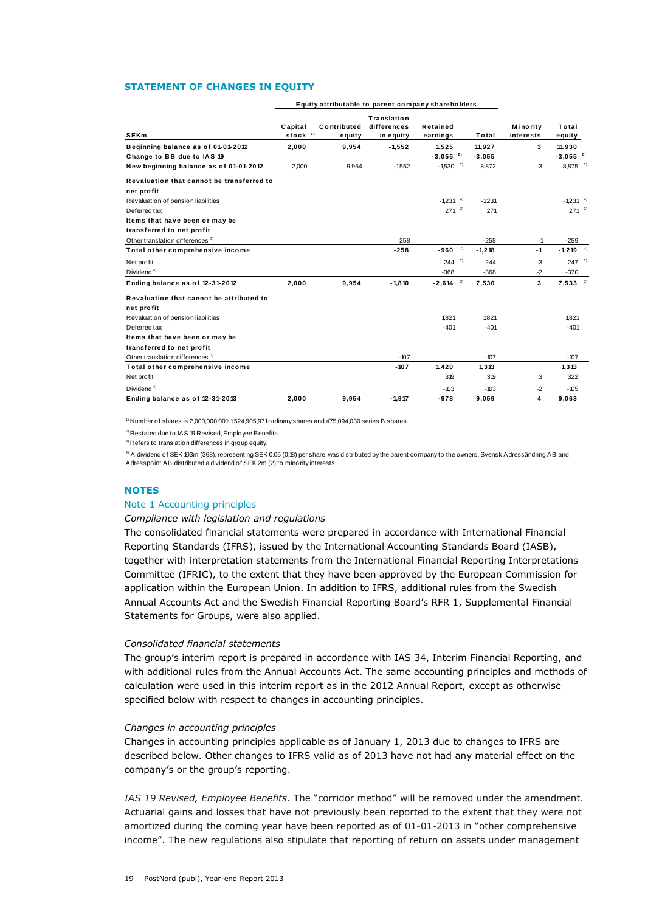### **STATEMENT OF CHANGES IN EQUITY**

|                                                                                                                                                                                                                                                                                                                                                                                                                                                                                                                                                 |                                | Equity attributable to parent company shareholders |                                         |                                                  |                   |                                |                                                 |  |
|-------------------------------------------------------------------------------------------------------------------------------------------------------------------------------------------------------------------------------------------------------------------------------------------------------------------------------------------------------------------------------------------------------------------------------------------------------------------------------------------------------------------------------------------------|--------------------------------|----------------------------------------------------|-----------------------------------------|--------------------------------------------------|-------------------|--------------------------------|-------------------------------------------------|--|
| <b>SEKm</b>                                                                                                                                                                                                                                                                                                                                                                                                                                                                                                                                     | Capital<br>stock <sup>1)</sup> | Contributed<br>equity                              | Translation<br>differences<br>in equity | Retained<br>earnings                             | Total             | <b>M</b> ino rity<br>interests | Total<br>equity                                 |  |
| Beginning balance as of 01-01-2012                                                                                                                                                                                                                                                                                                                                                                                                                                                                                                              | 2,000                          | 9,954                                              | -1,552                                  | 1,525                                            | 11,927            | 3                              | 11,930                                          |  |
| Change to BB due to IAS 19<br>New beginning balance as of 01-01-2012                                                                                                                                                                                                                                                                                                                                                                                                                                                                            | 2,000                          | 9,954                                              | $-1,552$                                | $-3,055$ <sup>2)</sup><br>$-1,530$ <sup>2)</sup> | $-3,055$<br>8,872 | 3                              | $-3,055$ <sup>2)</sup><br>$8,875$ <sup>2)</sup> |  |
| Revaluation that cannot be transferred to                                                                                                                                                                                                                                                                                                                                                                                                                                                                                                       |                                |                                                    |                                         |                                                  |                   |                                |                                                 |  |
| net profit                                                                                                                                                                                                                                                                                                                                                                                                                                                                                                                                      |                                |                                                    |                                         |                                                  |                   |                                |                                                 |  |
| Revaluation of pension liabilities<br>Deferred tax                                                                                                                                                                                                                                                                                                                                                                                                                                                                                              |                                |                                                    |                                         | $-1,231$ <sup>2)</sup><br>$271^{2}$              | $-1,231$<br>271   |                                | $-1.231$ <sup>2)</sup><br>$271^{2}$             |  |
| Items that have been or may be                                                                                                                                                                                                                                                                                                                                                                                                                                                                                                                  |                                |                                                    |                                         |                                                  |                   |                                |                                                 |  |
| transferred to net profit<br>Other translation differences <sup>3)</sup>                                                                                                                                                                                                                                                                                                                                                                                                                                                                        |                                |                                                    | -258                                    |                                                  | -258              | -1                             | -259                                            |  |
| Total other comprehensive income                                                                                                                                                                                                                                                                                                                                                                                                                                                                                                                |                                |                                                    | $-258$                                  | 2)<br>-960                                       | $-1,218$          | $-1$                           | $-1,219$                                        |  |
| Net profit                                                                                                                                                                                                                                                                                                                                                                                                                                                                                                                                      |                                |                                                    |                                         | $244^{2}$                                        | 244               | 3                              | $247^{2}$                                       |  |
| Dividend <sup>4)</sup><br>Ending balance as of 12-31-2012                                                                                                                                                                                                                                                                                                                                                                                                                                                                                       | 2,000                          | 9,954                                              | $-1,810$                                | $-368$<br>2)<br>$-2,614$                         | $-368$<br>7,530   | -2<br>3                        | $-370$<br>2)<br>7,533                           |  |
| Revaluation that cannot be attributed to                                                                                                                                                                                                                                                                                                                                                                                                                                                                                                        |                                |                                                    |                                         |                                                  |                   |                                |                                                 |  |
| net profit                                                                                                                                                                                                                                                                                                                                                                                                                                                                                                                                      |                                |                                                    |                                         |                                                  |                   |                                |                                                 |  |
| Revaluation of pension liabilities                                                                                                                                                                                                                                                                                                                                                                                                                                                                                                              |                                |                                                    |                                         | 1,821                                            | 1,821             |                                | 1,821                                           |  |
| Deferred tax<br>Items that have been or may be                                                                                                                                                                                                                                                                                                                                                                                                                                                                                                  |                                |                                                    |                                         | $-401$                                           | $-401$            |                                | $-401$                                          |  |
| transferred to net profit                                                                                                                                                                                                                                                                                                                                                                                                                                                                                                                       |                                |                                                    |                                         |                                                  |                   |                                |                                                 |  |
| Other translation differences <sup>3)</sup><br>Total other comprehensive income                                                                                                                                                                                                                                                                                                                                                                                                                                                                 |                                |                                                    | $-107$<br>$-107$                        | 1,420                                            | -107<br>1,313     |                                | $-107$<br>1,313                                 |  |
| Net profit                                                                                                                                                                                                                                                                                                                                                                                                                                                                                                                                      |                                |                                                    |                                         | 319                                              | 319               | 3                              | 322                                             |  |
| Dividend <sup>4)</sup><br>Ending balance as of 12-31-2013                                                                                                                                                                                                                                                                                                                                                                                                                                                                                       | 2,000                          | 9,954                                              | $-1,917$                                | $-103$<br>$-978$                                 | $-103$<br>9,059   | $-2$<br>4                      | $-105$<br>9,063                                 |  |
| <b>NOTES</b><br>Note 1 Accounting principles<br>Compliance with legislation and regulations<br>The consolidated financial statements were prepared in accordance with International Financial                                                                                                                                                                                                                                                                                                                                                   |                                |                                                    |                                         |                                                  |                   |                                |                                                 |  |
| Reporting Standards (IFRS), issued by the International Accounting Standards Board (IASB),<br>together with interpretation statements from the International Financial Reporting Interpretations<br>Committee (IFRIC), to the extent that they have been approved by the European Commission for<br>application within the European Union. In addition to IFRS, additional rules from the Swedish<br>Annual Accounts Act and the Swedish Financial Reporting Board's RFR 1, Supplemental Financial<br>Statements for Groups, were also applied. |                                |                                                    |                                         |                                                  |                   |                                |                                                 |  |
| Consolidated financial statements<br>The group's interim report is prepared in accordance with IAS 34, Interim Financial Reporting, and<br>with additional rules from the Annual Accounts Act. The same accounting principles and methods of<br>calculation were used in this interim report as in the 2012 Annual Report, except as otherwise<br>specified below with respect to changes in accounting principles.                                                                                                                             |                                |                                                    |                                         |                                                  |                   |                                |                                                 |  |
| Changes in accounting principles<br>Changes in accounting principles applicable as of January 1, 2013 due to changes to IFRS are<br>described below. Other changes to IFRS valid as of 2013 have not had any material effect on the<br>company's or the group's reporting.                                                                                                                                                                                                                                                                      |                                |                                                    |                                         |                                                  |                   |                                |                                                 |  |
| IAS 19 Revised, Employee Benefits. The "corridor method" will be removed under the amendment.<br>Actuarial gains and losses that have not previously been reported to the extent that they were not<br>amortized during the coming year have been reported as of 01-01-2013 in "other comprehensive<br>income". The new regulations also stipulate that reporting of return on assets under management                                                                                                                                          |                                |                                                    |                                         |                                                  |                   |                                |                                                 |  |

# **NOTES**

# Note 1 Accounting principles

#### *Compliance with legislation and regulations*

#### *Consolidated financial statements*

#### *Changes in accounting principles*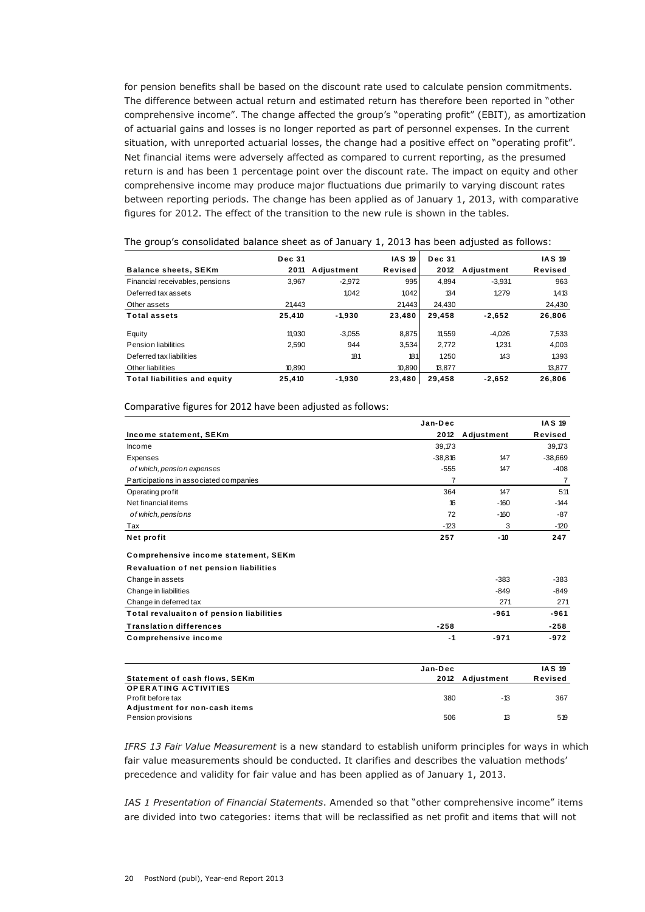for pension benefits shall be based on the discount rate used to calculate pension commitments. The difference between actual return and estimated return has therefore been reported in "other comprehensive income". The change affected the group's "operating profit" (EBIT), as amortization of actuarial gains and losses is no longer reported as part of personnel expenses. In the current situation, with unreported actuarial losses, the change had a positive effect on "operating profit". Net financial items were adversely affected as compared to current reporting, as the presumed return is and has been 1 percentage point over the discount rate. The impact on equity and other comprehensive income may produce major fluctuations due primarily to varying discount rates between reporting periods. The change has been applied as of January 1, 2013, with comparative figures for 2012. The effect of the transition to the new rule is shown in the tables.

|                                     | <b>Dec 31</b> |            | <b>IAS 19</b> | <b>Dec 31</b> |            | <b>IAS 19</b> |
|-------------------------------------|---------------|------------|---------------|---------------|------------|---------------|
| <b>Balance sheets, SEKm</b>         | 2011          | Adjustment | Revised       | 2012          | Adjustment | Revised       |
| Financial receivables, pensions     | 3.967         | $-2.972$   | 995           | 4.894         | $-3.931$   | 963           |
| Deferred tax assets                 |               | 1.042      | 1.042         | 134           | 1.279      | 1,413         |
| Other assets                        | 21.443        |            | 21,443        | 24,430        |            | 24,430        |
| <b>Total assets</b>                 | 25,410        | $-1.930$   | 23,480        | 29.458        | $-2.652$   | 26,806        |
| Equity                              | 11.930        | $-3.055$   | 8.875         | 11.559        | $-4.026$   | 7.533         |
| Pension liabilities                 | 2.590         | 944        | 3,534         | 2.772         | 1.231      | 4.003         |
| Deferred tax liabilities            |               | 181        | 181           | 1.250         | 143        | 1393          |
| Other liabilities                   | 10.890        |            | 10,890        | 13,877        |            | 13,877        |
| <b>Total liabilities and equity</b> | 25,410        | $-1.930$   | 23,480        | 29,458        | $-2,652$   | 26,806        |

|                                          | Jan-Dec   |                 | <b>IAS 19</b>  |
|------------------------------------------|-----------|-----------------|----------------|
| Income statement, SEKm                   | 2012      | Adjustment      | Revised        |
| <b>Income</b>                            | 39,173    |                 | 39,173         |
| Expenses                                 | $-38,816$ | 147             | $-38,669$      |
| of which, pension expenses               | $-555$    | 147             | $-408$         |
| Participations in associated companies   | 7         |                 | $\overline{7}$ |
| Operating profit                         | 364       | 147             | 511            |
| Net financial items                      | 16        | $-160$          | $-144$         |
| of which, pensions                       | 72        | $-160$          | $-87$          |
| Tax                                      | $-123$    | 3               | $-120$         |
| Net profit                               | 257       | $-10$           | 247            |
| Comprehensive income statement, SEKm     |           |                 |                |
| Revaluation of net pension liabilities   |           |                 |                |
| Change in assets                         |           | $-383$          | $-383$         |
| Change in liabilities                    |           | $-849$          | $-849$         |
| Change in deferred tax                   |           | 271             | 271            |
| Total revaluaiton of pension liabilities |           | $-961$          | $-961$         |
| <b>Translation differences</b>           | $-258$    |                 | $-258$         |
| <b>Comprehensive income</b>              | $-1$      | $-971$          | $-972$         |
|                                          | Jan-Dec   |                 | <b>IAS 19</b>  |
| Statement of cach flows SFKm             |           | 2012 Adjustmant | <b>Davicad</b> |

|                               | Jan-Dec |                 | <b>IAS 19</b> |
|-------------------------------|---------|-----------------|---------------|
| Statement of cash flows, SEKm |         | 2012 Adiustment | Revised       |
| <b>OPERATING ACTIVITIES</b>   |         |                 |               |
| Profit before tax             | 380     | -13             | 367           |
| Adjustment for non-cash items |         |                 |               |
| Pension provisions            | 506     | 13              | 519           |

*IFRS 13 Fair Value Measurement* is a new standard to establish uniform principles for ways in which fair value measurements should be conducted. It clarifies and describes the valuation methods' precedence and validity for fair value and has been applied as of January 1, 2013.

*IAS 1 Presentation of Financial Statements*. Amended so that "other comprehensive income" items are divided into two categories: items that will be reclassified as net profit and items that will not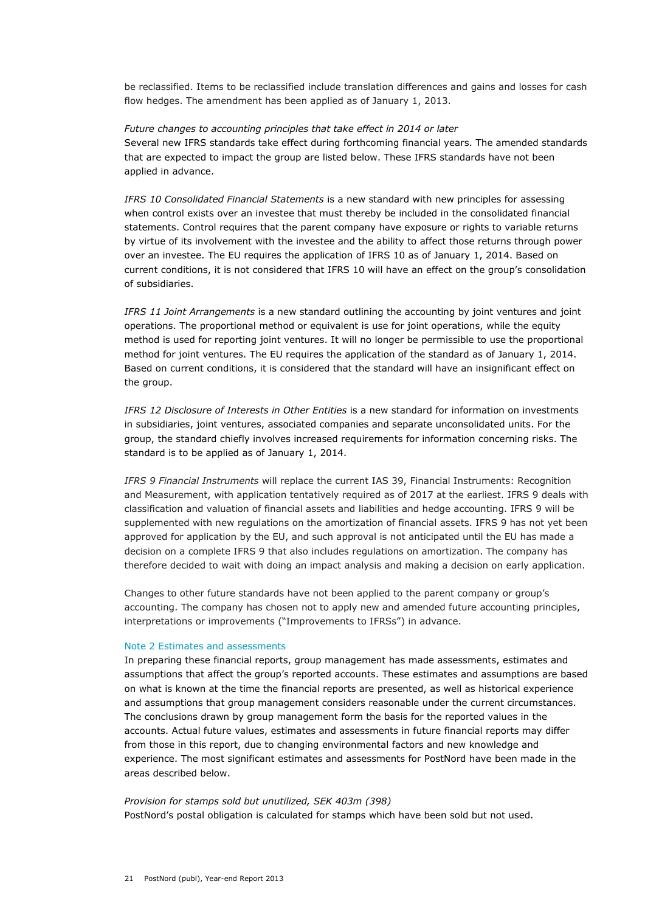be reclassified. Items to be reclassified include translation differences and gains and losses for cash flow hedges. The amendment has been applied as of January 1, 2013.

*Future changes to accounting principles that take effect in 2014 or later* Several new IFRS standards take effect during forthcoming financial years. The amended standards that are expected to impact the group are listed below. These IFRS standards have not been applied in advance.

*IFRS 10 Consolidated Financial Statements* is a new standard with new principles for assessing when control exists over an investee that must thereby be included in the consolidated financial statements. Control requires that the parent company have exposure or rights to variable returns by virtue of its involvement with the investee and the ability to affect those returns through power over an investee. The EU requires the application of IFRS 10 as of January 1, 2014. Based on current conditions, it is not considered that IFRS 10 will have an effect on the group's consolidation of subsidiaries.

*IFRS 11 Joint Arrangements* is a new standard outlining the accounting by joint ventures and joint operations. The proportional method or equivalent is use for joint operations, while the equity method is used for reporting joint ventures. It will no longer be permissible to use the proportional method for joint ventures. The EU requires the application of the standard as of January 1, 2014. Based on current conditions, it is considered that the standard will have an insignificant effect on the group.

*IFRS 12 Disclosure of Interests in Other Entities* is a new standard for information on investments in subsidiaries, joint ventures, associated companies and separate unconsolidated units. For the group, the standard chiefly involves increased requirements for information concerning risks. The standard is to be applied as of January 1, 2014.

*IFRS 9 Financial Instruments* will replace the current IAS 39, Financial Instruments: Recognition and Measurement, with application tentatively required as of 2017 at the earliest. IFRS 9 deals with classification and valuation of financial assets and liabilities and hedge accounting. IFRS 9 will be supplemented with new regulations on the amortization of financial assets. IFRS 9 has not yet been approved for application by the EU, and such approval is not anticipated until the EU has made a decision on a complete IFRS 9 that also includes regulations on amortization. The company has therefore decided to wait with doing an impact analysis and making a decision on early application.

Changes to other future standards have not been applied to the parent company or group's accounting. The company has chosen not to apply new and amended future accounting principles, interpretations or improvements ("Improvements to IFRSs") in advance.

# Note 2 Estimates and assessments

In preparing these financial reports, group management has made assessments, estimates and assumptions that affect the group's reported accounts. These estimates and assumptions are based on what is known at the time the financial reports are presented, as well as historical experience and assumptions that group management considers reasonable under the current circumstances. The conclusions drawn by group management form the basis for the reported values in the accounts. Actual future values, estimates and assessments in future financial reports may differ from those in this report, due to changing environmental factors and new knowledge and experience. The most significant estimates and assessments for PostNord have been made in the areas described below.

# *Provision for stamps sold but unutilized, SEK 403m (398)*  PostNord's postal obligation is calculated for stamps which have been sold but not used.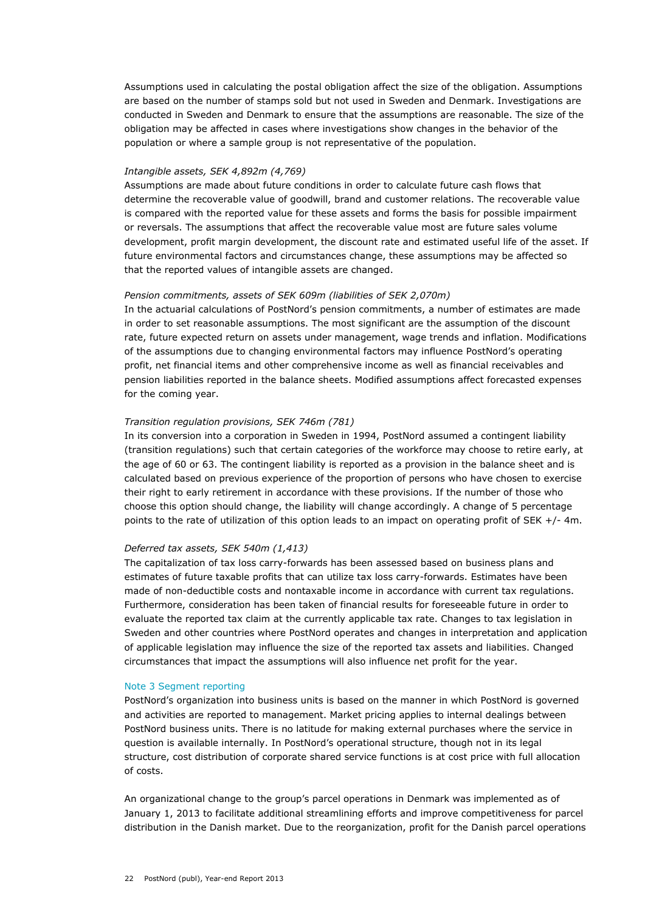Assumptions used in calculating the postal obligation affect the size of the obligation. Assumptions are based on the number of stamps sold but not used in Sweden and Denmark. Investigations are conducted in Sweden and Denmark to ensure that the assumptions are reasonable. The size of the obligation may be affected in cases where investigations show changes in the behavior of the population or where a sample group is not representative of the population.

# *Intangible assets, SEK 4,892m (4,769)*

Assumptions are made about future conditions in order to calculate future cash flows that determine the recoverable value of goodwill, brand and customer relations. The recoverable value is compared with the reported value for these assets and forms the basis for possible impairment or reversals. The assumptions that affect the recoverable value most are future sales volume development, profit margin development, the discount rate and estimated useful life of the asset. If future environmental factors and circumstances change, these assumptions may be affected so that the reported values of intangible assets are changed.

# *Pension commitments, assets of SEK 609m (liabilities of SEK 2,070m)*

In the actuarial calculations of PostNord's pension commitments, a number of estimates are made in order to set reasonable assumptions. The most significant are the assumption of the discount rate, future expected return on assets under management, wage trends and inflation. Modifications of the assumptions due to changing environmental factors may influence PostNord's operating profit, net financial items and other comprehensive income as well as financial receivables and pension liabilities reported in the balance sheets. Modified assumptions affect forecasted expenses for the coming year.

# *Transition regulation provisions, SEK 746m (781)*

In its conversion into a corporation in Sweden in 1994, PostNord assumed a contingent liability (transition regulations) such that certain categories of the workforce may choose to retire early, at the age of 60 or 63. The contingent liability is reported as a provision in the balance sheet and is calculated based on previous experience of the proportion of persons who have chosen to exercise their right to early retirement in accordance with these provisions. If the number of those who choose this option should change, the liability will change accordingly. A change of 5 percentage points to the rate of utilization of this option leads to an impact on operating profit of SEK +/- 4m.

# *Deferred tax assets, SEK 540m (1,413)*

The capitalization of tax loss carry-forwards has been assessed based on business plans and estimates of future taxable profits that can utilize tax loss carry-forwards. Estimates have been made of non-deductible costs and nontaxable income in accordance with current tax regulations. Furthermore, consideration has been taken of financial results for foreseeable future in order to evaluate the reported tax claim at the currently applicable tax rate. Changes to tax legislation in Sweden and other countries where PostNord operates and changes in interpretation and application of applicable legislation may influence the size of the reported tax assets and liabilities. Changed circumstances that impact the assumptions will also influence net profit for the year.

# Note 3 Segment reporting

PostNord's organization into business units is based on the manner in which PostNord is governed and activities are reported to management. Market pricing applies to internal dealings between PostNord business units. There is no latitude for making external purchases where the service in question is available internally. In PostNord's operational structure, though not in its legal structure, cost distribution of corporate shared service functions is at cost price with full allocation of costs.

An organizational change to the group's parcel operations in Denmark was implemented as of January 1, 2013 to facilitate additional streamlining efforts and improve competitiveness for parcel distribution in the Danish market. Due to the reorganization, profit for the Danish parcel operations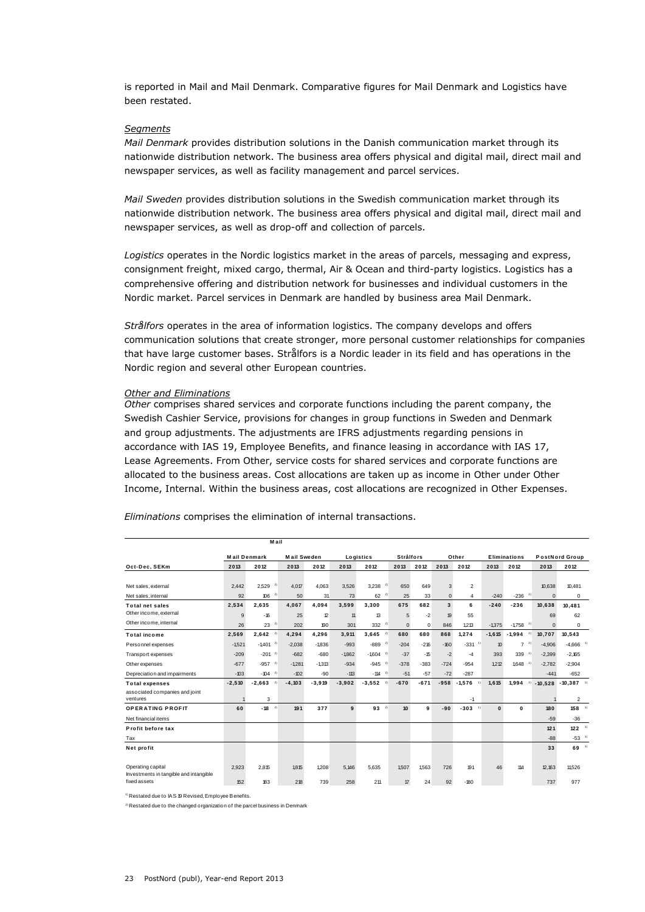is reported in Mail and Mail Denmark. Comparative figures for Mail Denmark and Logistics have been restated.

#### *Segments*

*Mail Denmark* provides distribution solutions in the Danish communication market through its nationwide distribution network. The business area offers physical and digital mail, direct mail and newspaper services, as well as facility management and parcel services.

*Mail Sweden* provides distribution solutions in the Swedish communication market through its nationwide distribution network. The business area offers physical and digital mail, direct mail and newspaper services, as well as drop-off and collection of parcels.

*Logistics* operates in the Nordic logistics market in the areas of parcels, messaging and express, consignment freight, mixed cargo, thermal, Air & Ocean and third-party logistics. Logistics has a comprehensive offering and distribution network for businesses and individual customers in the Nordic market. Parcel services in Denmark are handled by business area Mail Denmark.

*Strålfors* operates in the area of information logistics. The company develops and offers communication solutions that create stronger, more personal customer relationships for companies that have large customer bases. Strålfors is a Nordic leader in its field and has operations in the Nordic region and several other European countries.

#### *Other and Eliminations*

*Other* comprises shared services and corporate functions including the parent company, the Swedish Cashier Service, provisions for changes in group functions in Sweden and Denmark and group adjustments. The adjustments are IFRS adjustments regarding pensions in accordance with IAS 19, Employee Benefits, and finance leasing in accordance with IAS 17, Lease Agreements. From Other, service costs for shared services and corporate functions are allocated to the business areas. Cost allocations are taken up as income in Other under Other Income, Internal. Within the business areas, cost allocations are recognized in Other Expenses.

|                                                        |                     | <b>Mail</b>            |                    |          |          |                        |                  |        |                         |                |                            |                      |           |                         |  |
|--------------------------------------------------------|---------------------|------------------------|--------------------|----------|----------|------------------------|------------------|--------|-------------------------|----------------|----------------------------|----------------------|-----------|-------------------------|--|
|                                                        | <b>Mail Denmark</b> |                        | <b>Mail Sweden</b> |          |          | Logistics              | <b>Strålfors</b> |        |                         | Other          |                            | <b>Eliminations</b>  |           | PostNord Group          |  |
| Oct-Dec, SEKm                                          | 2013                | 2012                   | 2013               | 2012     | 2013     | 2012                   | 2013             | 2012   | 2013                    | 2012           | 2013                       | 2012                 | 2013      | 2012                    |  |
|                                                        |                     |                        |                    |          |          |                        |                  |        |                         |                |                            |                      |           |                         |  |
| Net sales, external                                    | 2.442               | $^{2}$<br>2.529        | 4.017              | 4.063    | 3.526    | 2)<br>3.238            | 650              | 649    | 3                       | $\overline{2}$ |                            |                      | 10.638    | 10,481                  |  |
| Net sales, internal                                    | 92                  | 2)<br>106              | 50                 | 31       | 73       | $62^{2}$               | 25               | 33     | $\mathbf{0}$            | 4              | $-240$                     | $^{2)}$<br>$-236$    | $\Omega$  | $^{\circ}$              |  |
| <b>Total net sales</b>                                 | 2,534               | 2.635                  | 4.067              | 4.094    | 3,599    | 3,300                  | 675              | 682    | $\overline{\mathbf{3}}$ | 6              | $-240$                     | $-236$               | 10,638    | 10.481                  |  |
| Other income, external                                 | 9                   | $-16$                  | 25                 | 12       | 11       | 13                     | 5                | $-2$   | 19                      | 55             |                            |                      | 69        | 62                      |  |
| Other income, internal                                 | 26                  | $23^{2}$               | 202                | 190      | 301      | $332^{2}$              | $\mathbf 0$      | 0      | 846                     | 1.213          | $-1375$                    | 2)<br>$-1758$        | $\Omega$  | $\mathbf 0$             |  |
| <b>Total income</b>                                    | 2,569               | $2,642$ <sup>2)</sup>  | 4,294              | 4.296    | 3.911    | $3,645$ <sup>2)</sup>  | 680              | 680    | 868                     | 1.274          | $-1.615$                   | $-1,994$<br>2)       | 10,707    | 10,543                  |  |
| Personnel expenses                                     | $-1521$             | $-1,401$ <sup>2)</sup> | $-2.038$           | $-1836$  | $-993$   | 2)<br>$-889$           | $-204$           | $-216$ | $-160$                  | $-331$         | $\boldsymbol{\mathcal{D}}$ | 2)<br>$\overline{7}$ | $-4,906$  | $-4,666$ <sup>1</sup>   |  |
| Transport expenses                                     | $-209$              | $-201^{2}$             | $-682$             | $-680$   | $-1.862$ | $-1,604$ <sup>2)</sup> | $-37$            | $-15$  | $-2$                    | $-4$           | 393                        | 2)<br>339            | $-2.399$  | $-2.165$                |  |
| Other expenses                                         | $-677$              | $-957$ <sup>2)</sup>   | $-1281$            | $-1.313$ | $-934$   | $-945$ <sup>2)</sup>   | $-378$           | $-383$ | $-724$                  | $-954$         | 1.212                      | $^{2)}$<br>1,648     | $-2,782$  | $-2,904$                |  |
| Depreciation and impairments                           | $-103$              | $-104$ <sup>2)</sup>   | $-102$             | $-90$    | $-113$   | $-114$ $2)$            | $-51$            | $-57$  | $-72$                   | $-287$         |                            |                      | $-441$    | $-652$                  |  |
| <b>Total expenses</b>                                  | $-2,510$            | $-2,663$<br>2)         | $-4,103$           | $-3,919$ | $-3,902$ | $-3,552$<br>2)         | $-670$           | $-671$ | $-958$                  | $-1,576$<br>1) | 1,615                      | 1,994<br>2)          | $-10.528$ | $-10,387$ <sup>1)</sup> |  |
| associated companies and joint                         |                     |                        |                    |          |          |                        |                  |        |                         |                |                            |                      |           |                         |  |
| ventures                                               |                     | 3                      |                    |          |          |                        |                  |        |                         | $-1$           |                            |                      |           | $\overline{2}$          |  |
| <b>OPERATING PROFIT</b>                                | 60                  | $-18$<br>2)            | 191                | 377      | 9        | $93^{2}$               | 10 <sup>10</sup> | 9      | $-90$                   | 1)<br>$-303$   | $\bf{0}$                   | 0                    | 180       | $158 - 1$               |  |
| Net financial items                                    |                     |                        |                    |          |          |                        |                  |        |                         |                |                            |                      | $-59$     | $-36$                   |  |
| Profit before tax                                      |                     |                        |                    |          |          |                        |                  |        |                         |                |                            |                      | 121       | $122$ <sup>1)</sup>     |  |
| Tax                                                    |                     |                        |                    |          |          |                        |                  |        |                         |                |                            |                      | $-88$     | $-53$ <sup>1</sup>      |  |
| Net profit                                             |                     |                        |                    |          |          |                        |                  |        |                         |                |                            |                      | 33        | 1)<br>69                |  |
|                                                        |                     |                        |                    |          |          |                        |                  |        |                         |                |                            |                      |           |                         |  |
| Operating capital                                      | 2,923               | 2,815                  | 1815               | 1.208    | 5,146    | 5.635                  | 1,507            | 1563   | 726                     | 191            | 46                         | 114                  | 12,163    | 11.526                  |  |
| Investments in tangible and intangible<br>fixed assets | 152                 | 183                    | 218                | 739      | 258      | 211                    | 17               | 24     | 92                      | $-180$         |                            |                      | 737       | 977                     |  |
|                                                        |                     |                        |                    |          |          |                        |                  |        |                         |                |                            |                      |           |                         |  |

*Eliminations* comprises the elimination of internal transactions.<br> **Mail** 

<sup>1)</sup> Restated due to IAS 19 Revised, Employee Benefits.

 $2)$  Restated due to the changed organization of the parcel business in Denmark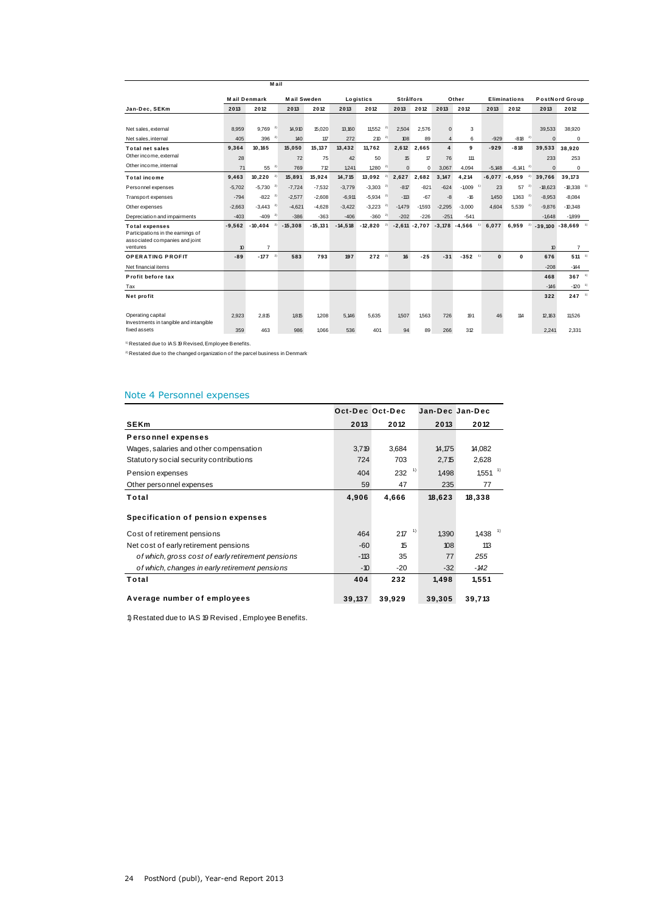|                                                                                                          |                | M ail                             |                    |              |              |                        |                  |                  |                      |                      |              |                        |                |                                                   |  |
|----------------------------------------------------------------------------------------------------------|----------------|-----------------------------------|--------------------|--------------|--------------|------------------------|------------------|------------------|----------------------|----------------------|--------------|------------------------|----------------|---------------------------------------------------|--|
|                                                                                                          |                | <b>Mail Denmark</b>               | <b>Mail Sweden</b> |              |              | Logistics              | <b>Strålfors</b> |                  |                      | Other                |              | <b>Eliminations</b>    |                | PostNord Group                                    |  |
| Jan-Dec, SEKm                                                                                            | 2013           | 2012                              | 2013               | 2012         | 2013         | 2012                   | 2013             | 2012             | 2013                 | 2012                 | 2013         | 2012                   | 2013           | 2012                                              |  |
| Net sales, external                                                                                      | 8,959          | $9,769$ <sup>2)</sup>             | 14.910             | 15.020       | 13,160       | $\mathbf{z}$<br>11,552 | 2.504            | 2.576            | $\mathbf 0$          | 3                    |              |                        | 39,533         | 38,920                                            |  |
| Net sales, internal                                                                                      | 405            | $396^{2}$                         | 140                | 117          | 272          | $210^{-2}$             | 108              | 89               | $\overline{4}$       | 6                    | $-929$       | $-818$                 | 2)<br>$\Omega$ | $\mathbf 0$                                       |  |
| <b>Total net sales</b><br>Other income, external                                                         | 9,364<br>28    | 10.165                            | 15,050<br>72       | 15.137<br>75 | 13,432<br>42 | 11.762<br>50           | 2,612<br>15      | 2.665<br>$\Pi$   | $\overline{4}$<br>76 | 9<br>111             | $-929$       | $-818$                 | 39,533<br>233  | 38.920<br>253                                     |  |
| Other income, internal                                                                                   | 71             | 55 <sup>2</sup>                   | 769                | 712          | 1.241        | $1,280$ <sup>2)</sup>  | $\Omega$         | 0                | 3.067                | 4.094                | $-5.148$     | $-6,141$ <sup>2)</sup> | $\Omega$       | $\mathbf 0$                                       |  |
| <b>Total income</b>                                                                                      | 9.463          | $10,220$ <sup>2)</sup>            | 15,891             | 15.924       | 14.715       | 2)<br>13,092           | 2.627            | 2.682            | 3.147                | 4,214                |              | $-6,077 -6,959$        | 2)<br>39,766   | 39.173                                            |  |
| Personnel expenses                                                                                       | $-5,702$       | $-5,730$ <sup>2)</sup>            | $-7,724$           | $-7,532$     | $-3,779$     | $-3,303$ <sup>2)</sup> | $-817$           | $-821$           | $-624$               | $-1009$              | 23           | 57                     | $-18,623$      | $-18,338$ <sup>1</sup>                            |  |
| Transport expenses                                                                                       | $-794$         | $-822$ <sup>2)</sup>              | $-2.577$           | $-2.608$     | $-6,911$     | $-5,934$ <sup>2)</sup> | $-113$           | $-67$            | $-8$                 | $-16$                | 1.450        | 1.363                  | 2)<br>$-8,953$ | $-8.084$                                          |  |
| Other expenses                                                                                           | $-2.663$       | $-3,443$ <sup>2)</sup>            | $-4.621$           | $-4.628$     | $-3.422$     | 2)<br>$-3,223$         | $-1.479$         | $-1593$          | $-2.295$             | $-3.000$             | 4.604        | $5,539^{2}$            | $-9,876$       | $-10.348$                                         |  |
| Depreciation and impairments                                                                             | $-403$         | $-409$ <sup>2)</sup>              | $-386$             | $-363$       | $-406$       | 2)<br>$-360$           | $-202$           | $-226$           | $-251$               | $-541$               |              |                        | $-1648$        | $-1.899$                                          |  |
| <b>Total expenses</b><br>Participations in the earnings of<br>associated companies and joint<br>ventures | $-9,562$<br>10 | 2)<br>$-10,404$<br>$\overline{7}$ | $-15,308$          | $-15.131$    | $-14,518$    | 2)<br>$-12,820$        |                  | $-2,611 - 2,707$ | $-3,178$             | $-4,566$             | 6,077        | 6.959                  | 10             | $-39,100 - 38,669$ <sup>1</sup><br>$\overline{7}$ |  |
| <b>OPERATING PROFIT</b>                                                                                  | $-89$          | $-177$ <sup>2)</sup>              | 583                | 793          | 197          | $272^{2}$              | 16               | $-25$            | $-31$                | $-352$ <sup>1)</sup> | $\mathbf{0}$ | 0                      | 676            | $511 - 1$                                         |  |
| Net financial items                                                                                      |                |                                   |                    |              |              |                        |                  |                  |                      |                      |              |                        | $-208$         | $-144$                                            |  |
| Profit before tax                                                                                        |                |                                   |                    |              |              |                        |                  |                  |                      |                      |              |                        | 468            | $367$ <sup>1)</sup>                               |  |
| Tax                                                                                                      |                |                                   |                    |              |              |                        |                  |                  |                      |                      |              |                        | $-146$         | $-120$ <sup>1)</sup>                              |  |
| Net profit                                                                                               |                |                                   |                    |              |              |                        |                  |                  |                      |                      |              |                        | 322            | $247 - 1$                                         |  |
| Operating capital<br>Investments in tangible and intangible                                              | 2,923          | 2.815                             | 1815               | 1,208        | 5.146        | 5.635                  | 1.507            | 1563             | 726                  | 191                  | 46           | 114                    | 12,163         | 11,526                                            |  |
| fixed assets                                                                                             | 359            | 463                               | 986                | 1.066        | 536          | 401                    | 94               | 89               | 266                  | 312                  |              |                        | 2,241          | 2,331                                             |  |

1) Restated due to IAS 19 Revised, Employee Benefits.

<sup>2)</sup> Restated due to the changed organization of the parcel business in Denmark

# Note 4 Personnel expenses

| Note 4 Personnel expenses                         |                 |             |                 |                       |
|---------------------------------------------------|-----------------|-------------|-----------------|-----------------------|
|                                                   | Oct-Dec Oct-Dec |             | Jan-Dec Jan-Dec |                       |
| <b>SEKm</b>                                       | 2013            | 2012        | 2013            | 2012                  |
| <b>Personnel expenses</b>                         |                 |             |                 |                       |
| Wages, salaries and other compensation            | 3,719           | 3,684       | 14,175          | 14,082                |
| Statutory social security contributions           | 724             | 703         | 2,715           | 2,628                 |
| Pension expenses                                  | 404             | 1)<br>232   | 1,498           | $1,551$ <sup>1)</sup> |
| Other personnel expenses                          | 59              | 47          | 235             | 77                    |
| Total                                             | 4,906           | 4,666       | 18,623          | 18,338                |
| Specification of pension expenses                 |                 |             |                 |                       |
| Cost of retirement pensions                       | 464             | - 1)<br>217 | 1,390           | $1,438$ <sup>1)</sup> |
| Net cost of early retirement pensions             | $-60$           | 15          | 108             | 113                   |
| of which, gross cost of early retirement pensions | $-113$          | 35          | 77              | 255                   |
| of which, changes in early retirement pensions    | $-10$           | $-20$       | $-32$           | $-142$                |
| Total                                             | 404             | 232         | 1,498           | 1,551                 |
| Average number of employees                       | 39,137          | 39,929      | 39,305          | 39,713                |

1) Restated due to IAS 19 Revised , Employee Benefits.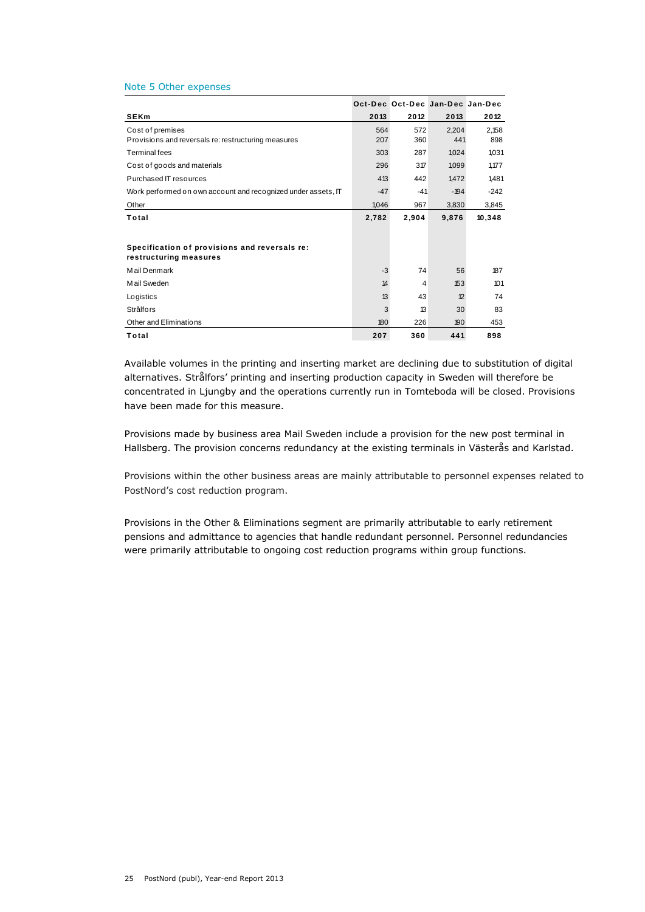#### Note 5 Other expenses

| Note 5 Other expenses                                                   |            |                                 |              |              |
|-------------------------------------------------------------------------|------------|---------------------------------|--------------|--------------|
|                                                                         |            | Oct-Dec Oct-Dec Jan-Dec Jan-Dec |              |              |
| <b>SEKm</b>                                                             | 2013       | 2012                            | 2013         | 2012         |
| Cost of premises<br>Provisions and reversals re: restructuring measures | 564<br>207 | 572<br>360                      | 2.204<br>441 | 2.158<br>898 |
| <b>Terminal fees</b>                                                    | 303        | 287                             | 1,024        | 1,031        |
| Cost of goods and materials                                             | 296        | 317                             | 1,099        | 1,177        |
| Purchased IT resources                                                  | 413        | 442                             | 1.472        | 1.481        |
| Work performed on own account and recognized under assets, IT           | $-47$      | $-41$                           | $-194$       | $-242$       |
| Other                                                                   | 1,046      | 967                             | 3,830        | 3,845        |
| Total                                                                   | 2.782      | 2,904                           | 9,876        | 10,348       |
|                                                                         |            |                                 |              |              |
| Specification of provisions and reversals re:<br>restructuring measures |            |                                 |              |              |
| Mail Denmark                                                            | $-3$       | 74                              | 56           | 187          |
| Mail Sweden                                                             | 14         | 4                               | 153          | 101          |
| Logistics                                                               | 13         | 43                              | 12           | 74           |
| Strålfors                                                               | 3          | 13                              | 30           | 83           |
| Other and Eliminations                                                  | 180        | 226                             | 190          | 453          |
| Total                                                                   | 207        | 360                             | 441          | 898          |

Available volumes in the printing and inserting market are declining due to substitution of digital alternatives. Strålfors' printing and inserting production capacity in Sweden will therefore be concentrated in Ljungby and the operations currently run in Tomteboda will be closed. Provisions have been made for this measure.

Provisions made by business area Mail Sweden include a provision for the new post terminal in Hallsberg. The provision concerns redundancy at the existing terminals in Västerås and Karlstad.

Provisions within the other business areas are mainly attributable to personnel expenses related to PostNord's cost reduction program.

Provisions in the Other & Eliminations segment are primarily attributable to early retirement pensions and admittance to agencies that handle redundant personnel. Personnel redundancies were primarily attributable to ongoing cost reduction programs within group functions.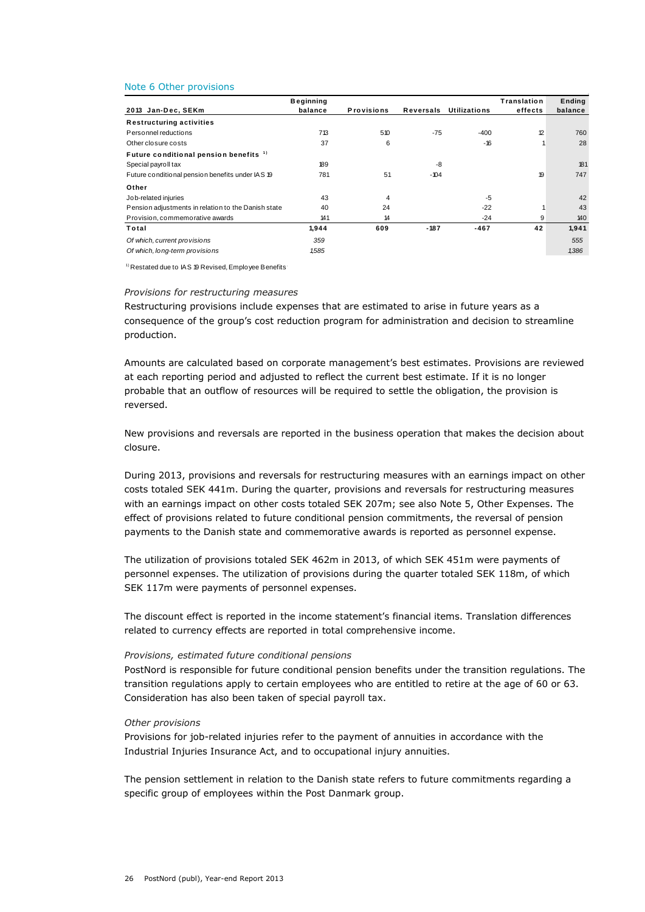|                                                     | <b>Beginning</b> |                   |           |                     | Translation | Ending  |
|-----------------------------------------------------|------------------|-------------------|-----------|---------------------|-------------|---------|
| 2013 Jan-Dec, SEKm                                  | balance          | <b>Provisions</b> | Reversals | <b>Utilizations</b> | effects     | balance |
| <b>Restructuring activities</b>                     |                  |                   |           |                     |             |         |
| Personnel reductions                                | 713              | 510               | $-75$     | $-400$              | 12          | 760     |
| Other closure costs                                 | 37               | 6                 |           | $-16$               |             | 28      |
| Future conditional pension benefits <sup>1)</sup>   |                  |                   |           |                     |             |         |
| Special payroll tax                                 | 189              |                   | -8        |                     |             | 181     |
| Future conditional pension benefits under IAS 19    | 781              | 51                | $-104$    |                     | 19          | 747     |
| Other                                               |                  |                   |           |                     |             |         |
| Job-related injuries                                | 43               | 4                 |           | $-5$                |             | 42      |
| Pension adjustments in relation to the Danish state | 40               | 24                |           | $-22$               |             | 43      |
| Provision, commemorative awards                     | 141              | 14                |           | $-24$               | 9           | 140     |
| Total                                               | 1,944            | 609               | $-187$    | $-467$              | 42          | 1,941   |
| Of which, current provisions                        | 359              |                   |           |                     |             | 555     |
| Of which, long-term provisions                      | 1,585            |                   |           |                     |             | 1,386   |

<sup>1)</sup> Restated due to IAS 19 Revised, Employee Benefits<sup>.</sup>

### *Provisions for restructuring measures*

Restructuring provisions include expenses that are estimated to arise in future years as a consequence of the group's cost reduction program for administration and decision to streamline production.

Amounts are calculated based on corporate management's best estimates. Provisions are reviewed at each reporting period and adjusted to reflect the current best estimate. If it is no longer probable that an outflow of resources will be required to settle the obligation, the provision is reversed.

New provisions and reversals are reported in the business operation that makes the decision about closure.

During 2013, provisions and reversals for restructuring measures with an earnings impact on other costs totaled SEK 441m. During the quarter, provisions and reversals for restructuring measures with an earnings impact on other costs totaled SEK 207m; see also Note 5, Other Expenses. The effect of provisions related to future conditional pension commitments, the reversal of pension payments to the Danish state and commemorative awards is reported as personnel expense.

The utilization of provisions totaled SEK 462m in 2013, of which SEK 451m were payments of personnel expenses. The utilization of provisions during the quarter totaled SEK 118m, of which SEK 117m were payments of personnel expenses.

The discount effect is reported in the income statement's financial items. Translation differences related to currency effects are reported in total comprehensive income.

#### *Provisions, estimated future conditional pensions*

PostNord is responsible for future conditional pension benefits under the transition regulations. The transition regulations apply to certain employees who are entitled to retire at the age of 60 or 63. Consideration has also been taken of special payroll tax.

#### *Other provisions*

Provisions for job-related injuries refer to the payment of annuities in accordance with the Industrial Injuries Insurance Act, and to occupational injury annuities.

The pension settlement in relation to the Danish state refers to future commitments regarding a specific group of employees within the Post Danmark group.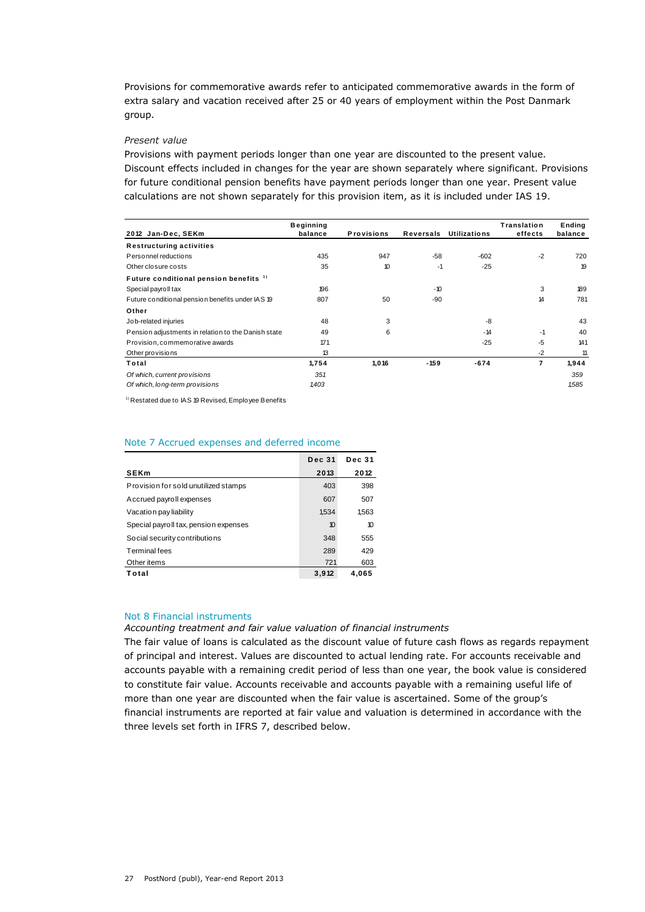Provisions for commemorative awards refer to anticipated commemorative awards in the form of extra salary and vacation received after 25 or 40 years of employment within the Post Danmark group.

# *Present value*

Provisions with payment periods longer than one year are discounted to the present value. Discount effects included in changes for the year are shown separately where significant. Provisions for future conditional pension benefits have payment periods longer than one year. Present value

|                                                     | <b>Beginning</b> |                   |                  |                     | Translation    | Ending  |
|-----------------------------------------------------|------------------|-------------------|------------------|---------------------|----------------|---------|
| 2012 Jan-Dec, SEKm                                  | balance          | <b>Provisions</b> | <b>Reversals</b> | <b>Utilizations</b> | effects        | balance |
| <b>Restructuring activities</b>                     |                  |                   |                  |                     |                |         |
| Personnel reductions                                | 435              | 947               | $-58$            | $-602$              | $-2$           | 720     |
| Other closure costs                                 | 35               | 10                | $-1$             | $-25$               |                | 19      |
| Future conditional pension benefits <sup>1)</sup>   |                  |                   |                  |                     |                |         |
| Special payroll tax                                 | 196              |                   | $-10$            |                     | 3              | 189     |
| Future conditional pension benefits under IAS 19    | 807              | 50                | -90              |                     | 14             | 781     |
| Other                                               |                  |                   |                  |                     |                |         |
| Job-related injuries                                | 48               | 3                 |                  | -8                  |                | 43      |
| Pension adjustments in relation to the Danish state | 49               | 6                 |                  | $-14$               | $-1$           | 40      |
| Provision, commemorative awards                     | 171              |                   |                  | $-25$               | $-5$           | 141     |
| Other provisions                                    | 13               |                   |                  |                     | $-2$           | 11      |
| Total                                               | 1,754            | 1,016             | $-159$           | $-674$              | $\overline{7}$ | 1,944   |
| Of which, current provisions                        | 351              |                   |                  |                     |                | 359     |
| Of which, long-term provisions                      | 1,403            |                   |                  |                     |                | 1,585   |

<sup>1)</sup> Restated due to IAS 19 Revised, Employee Benefits<sup>1</sup>

#### Note 7 Accrued expenses and deferred income

| we have a superised and deferred income |               |               |  |  |  |  |
|-----------------------------------------|---------------|---------------|--|--|--|--|
|                                         | <b>Dec 31</b> | <b>Dec 31</b> |  |  |  |  |
| <b>SEKm</b>                             | 2013          | 2012          |  |  |  |  |
| Provision for sold unutilized stamps    | 403           | 398           |  |  |  |  |
| Accrued payroll expenses                | 607           | 507           |  |  |  |  |
| Vacation pay liability                  | 1.534         | 1,563         |  |  |  |  |
| Special payroll tax, pension expenses   | 10            | 10            |  |  |  |  |
| Social security contributions           | 348           | 555           |  |  |  |  |
| <b>Terminal fees</b>                    | 289           | 429           |  |  |  |  |
| Other items                             | 721           | 603           |  |  |  |  |
| Total                                   | 3,912         | 4.065         |  |  |  |  |

## Not 8 Financial instruments

### *Accounting treatment and fair value valuation of financial instruments*

The fair value of loans is calculated as the discount value of future cash flows as regards repayment of principal and interest. Values are discounted to actual lending rate. For accounts receivable and accounts payable with a remaining credit period of less than one year, the book value is considered to constitute fair value. Accounts receivable and accounts payable with a remaining useful life of more than one year are discounted when the fair value is ascertained. Some of the group's financial instruments are reported at fair value and valuation is determined in accordance with the three levels set forth in IFRS 7, described below.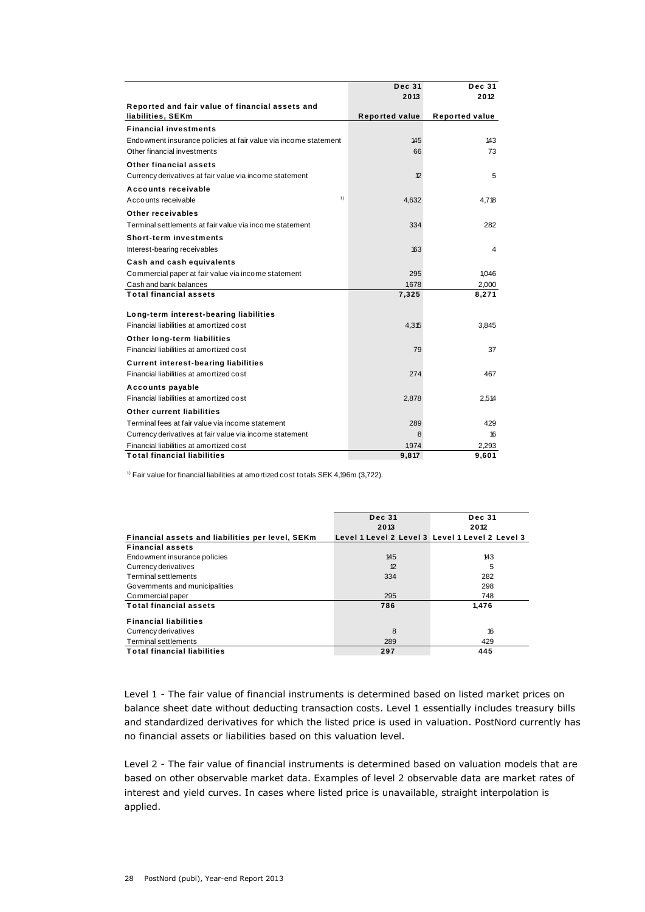|                                                                 | <b>Dec 31</b>         | <b>Dec 31</b>  |
|-----------------------------------------------------------------|-----------------------|----------------|
|                                                                 | 2013                  | 2012           |
| Reported and fair value of financial assets and                 |                       |                |
| liabilities, SEKm                                               | <b>Reported value</b> | Reported value |
| <b>Financial investments</b>                                    |                       |                |
| Endowment insurance policies at fair value via income statement | 145                   | 143            |
| Other financial investments                                     | 66                    | 73             |
| <b>Other financial assets</b>                                   |                       |                |
| Currency derivatives at fair value via income statement         | 12                    | 5              |
| Accounts receivable                                             |                       |                |
| 1)<br>Accounts receivable                                       | 4,632                 | 4.718          |
| Other receivables                                               |                       |                |
| Terminal settlements at fair value via income statement         | 334                   | 282            |
| <b>Short-term investments</b>                                   |                       |                |
| Interest-bearing receivables                                    | 163                   | 4              |
| Cash and cash equivalents                                       |                       |                |
| Commercial paper at fair value via income statement             | 295                   | 1.046          |
| Cash and bank balances                                          | 1,678                 | 2,000          |
| <b>Total financial assets</b>                                   | 7,325                 | 8,271          |
| Long-term interest-bearing liabilities                          |                       |                |
| Financial liabilities at amortized cost                         | 4,315                 | 3.845          |
| Other long-term liabilities                                     |                       |                |
| Financial liabilities at amortized cost                         | 79                    | 37             |
| <b>Current interest-bearing liabilities</b>                     |                       |                |
| Financial liabilities at amortized cost                         | 274                   | 467            |
| Accounts payable                                                |                       |                |
| Financial liabilities at amortized cost                         | 2,878                 | 2.514          |
| Other current liabilities                                       |                       |                |
| Terminal fees at fair value via income statement                | 289                   | 429            |
| Currency derivatives at fair value via income statement         | 8                     | 16             |
| Financial liabilities at amortized cost                         | 1,974                 | 2.293          |
| <b>Total financial liabilities</b>                              | 9,817                 | 9,601          |

 $1)$  Fair value for financial liabilities at amortized cost totals SEK 4,196m (3,722).

|                                                  | <b>Dec 31</b>                                   | <b>Dec 31</b> |
|--------------------------------------------------|-------------------------------------------------|---------------|
|                                                  | 2013                                            | 2012          |
| Financial assets and liabilities per level, SEKm | Level 1 Level 2 Level 3 Level 1 Level 2 Level 3 |               |
| <b>Financial assets</b>                          |                                                 |               |
| Endowment insurance policies                     | 145                                             | 143           |
| Currency derivatives                             | 12                                              | 5             |
| Terminal settlements                             | 334                                             | 282           |
| Governments and municipalities                   |                                                 | 298           |
| Commercial paper                                 | 295                                             | 748           |
| <b>Total financial assets</b>                    | 786                                             | 1,476         |
| <b>Financial liabilities</b>                     |                                                 |               |
| Currency derivatives                             | 8                                               | 16            |
| Terminal settlements                             | 289                                             | 429           |
| <b>Total financial liabilities</b>               | 297                                             | 445           |
|                                                  |                                                 |               |

Level 1 - The fair value of financial instruments is determined based on listed market prices on balance sheet date without deducting transaction costs. Level 1 essentially includes treasury bills and standardized derivatives for which the listed price is used in valuation. PostNord currently has no financial assets or liabilities based on this valuation level.

Level 2 - The fair value of financial instruments is determined based on valuation models that are based on other observable market data. Examples of level 2 observable data are market rates of interest and yield curves. In cases where listed price is unavailable, straight interpolation is applied.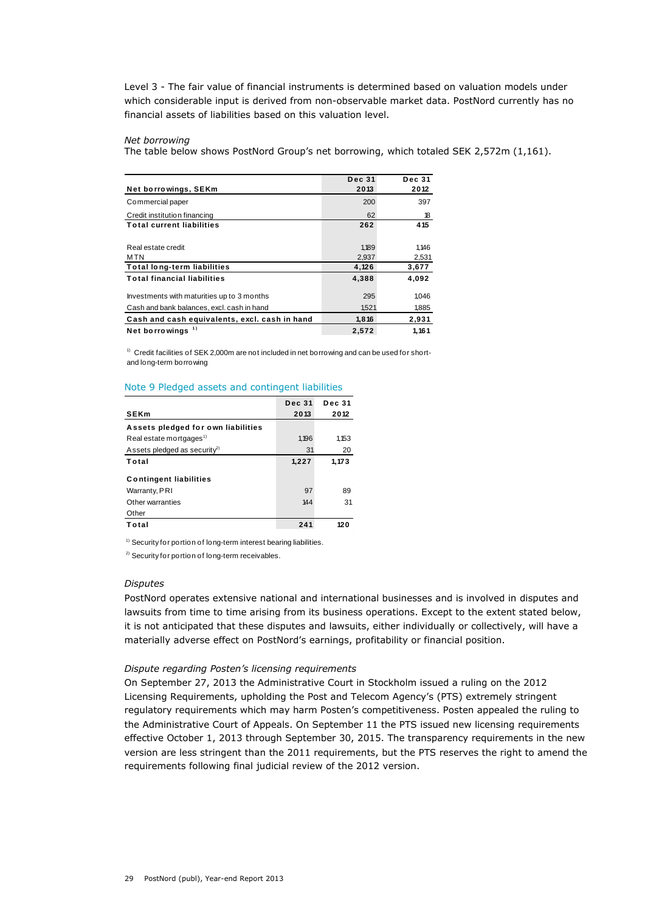Level 3 - The fair value of financial instruments is determined based on valuation models under which considerable input is derived from non-observable market data. PostNord currently has no financial assets of liabilities based on this valuation level.

# *Net borrowing*

The table below shows PostNord Group's net borrowing, which totaled SEK 2,572m (1,161).

| <b>Dec 31</b> | <b>Dec 31</b> |
|---------------|---------------|
| 2013          | 2012          |
| 200           | 397           |
| 62            | 18            |
| 262           | 415           |
|               |               |
| 1,189         | 1.146         |
| 2,937         | 2,531         |
| 4,126         | 3,677         |
| 4,388         | 4,092         |
|               |               |
| 295           | 1,046         |
| 1,521         | 1,885         |
| 1,816         | 2,931         |
| 2,572         | 1.161         |
|               |               |

<sup>1)</sup> Credit facilities of SEK 2,000m are not included in net borrowing and can be used for shortand long-term borrowing

| Note 9 Pledged assets and contingent liabilities |               |               |  |  |  |
|--------------------------------------------------|---------------|---------------|--|--|--|
|                                                  | <b>Dec 31</b> | <b>Dec 31</b> |  |  |  |
| <b>SEKm</b>                                      | 2013          | 2012          |  |  |  |
| Assets pledged for own liabilities               |               |               |  |  |  |
| Real estate mortgages <sup>1)</sup>              | 1.196         | 1,153         |  |  |  |
| Assets pledged as security <sup>2)</sup>         | 31            | 20            |  |  |  |
| Total                                            | 1,227         | 1,173         |  |  |  |
| <b>Contingent liabilities</b>                    |               |               |  |  |  |
| Warranty, PRI                                    | 97            | 89            |  |  |  |
| Other warranties                                 | 144           | 31            |  |  |  |
| Other                                            |               |               |  |  |  |
| Total                                            | 241           | 120           |  |  |  |

<sup>1)</sup> Security for portion of long-term interest bearing liabilities.

<sup>2)</sup> Security for portion of long-term receivables.

#### *Disputes*

PostNord operates extensive national and international businesses and is involved in disputes and lawsuits from time to time arising from its business operations. Except to the extent stated below, it is not anticipated that these disputes and lawsuits, either individually or collectively, will have a materially adverse effect on PostNord's earnings, profitability or financial position.

# *Dispute regarding Posten's licensing requirements*

On September 27, 2013 the Administrative Court in Stockholm issued a ruling on the 2012 Licensing Requirements, upholding the Post and Telecom Agency's (PTS) extremely stringent regulatory requirements which may harm Posten's competitiveness. Posten appealed the ruling to the Administrative Court of Appeals. On September 11 the PTS issued new licensing requirements effective October 1, 2013 through September 30, 2015. The transparency requirements in the new version are less stringent than the 2011 requirements, but the PTS reserves the right to amend the requirements following final judicial review of the 2012 version.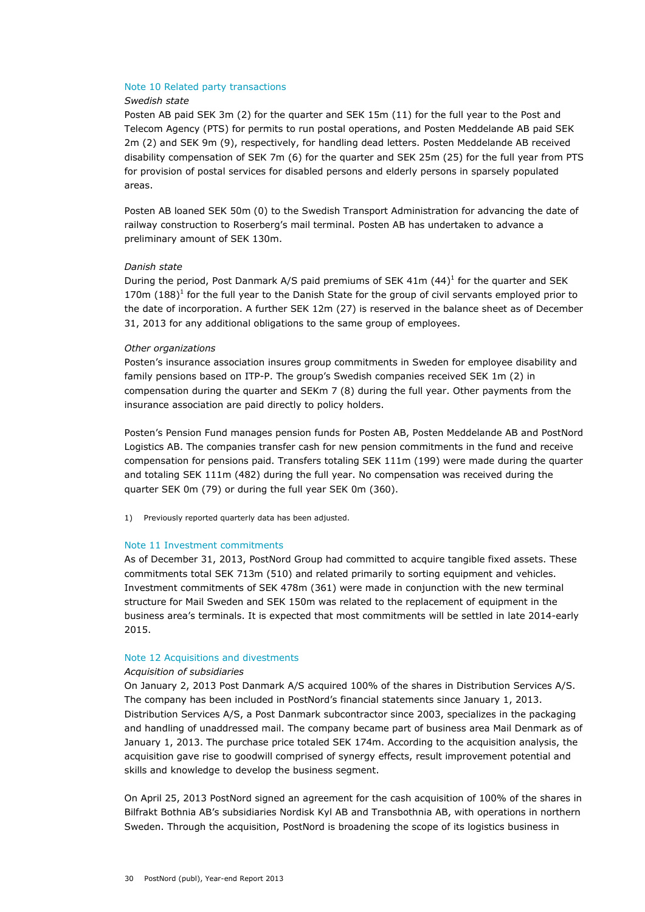#### Note 10 Related party transactions

### *Swedish state*

Posten AB paid SEK 3m (2) for the quarter and SEK 15m (11) for the full year to the Post and Telecom Agency (PTS) for permits to run postal operations, and Posten Meddelande AB paid SEK 2m (2) and SEK 9m (9), respectively, for handling dead letters. Posten Meddelande AB received disability compensation of SEK 7m (6) for the quarter and SEK 25m (25) for the full year from PTS for provision of postal services for disabled persons and elderly persons in sparsely populated areas.

Posten AB loaned SEK 50m (0) to the Swedish Transport Administration for advancing the date of railway construction to Roserberg's mail terminal. Posten AB has undertaken to advance a preliminary amount of SEK 130m.

### *Danish state*

During the period, Post Danmark A/S paid premiums of SEK 41m (44)<sup>1</sup> for the quarter and SEK 170m  $(188)^1$  for the full year to the Danish State for the group of civil servants employed prior to the date of incorporation. A further SEK 12m (27) is reserved in the balance sheet as of December 31, 2013 for any additional obligations to the same group of employees.

#### *Other organizations*

Posten's insurance association insures group commitments in Sweden for employee disability and family pensions based on ITP-P. The group's Swedish companies received SEK 1m (2) in compensation during the quarter and SEKm 7 (8) during the full year. Other payments from the insurance association are paid directly to policy holders.

Posten's Pension Fund manages pension funds for Posten AB, Posten Meddelande AB and PostNord Logistics AB. The companies transfer cash for new pension commitments in the fund and receive compensation for pensions paid. Transfers totaling SEK 111m (199) were made during the quarter and totaling SEK 111m (482) during the full year. No compensation was received during the quarter SEK 0m (79) or during the full year SEK 0m (360).

1) Previously reported quarterly data has been adjusted.

# Note 11 Investment commitments

As of December 31, 2013, PostNord Group had committed to acquire tangible fixed assets. These commitments total SEK 713m (510) and related primarily to sorting equipment and vehicles. Investment commitments of SEK 478m (361) were made in conjunction with the new terminal structure for Mail Sweden and SEK 150m was related to the replacement of equipment in the business area's terminals. It is expected that most commitments will be settled in late 2014-early 2015.

# Note 12 Acquisitions and divestments

# *Acquisition of subsidiaries*

On January 2, 2013 Post Danmark A/S acquired 100% of the shares in Distribution Services A/S. The company has been included in PostNord's financial statements since January 1, 2013. Distribution Services A/S, a Post Danmark subcontractor since 2003, specializes in the packaging and handling of unaddressed mail. The company became part of business area Mail Denmark as of January 1, 2013. The purchase price totaled SEK 174m. According to the acquisition analysis, the acquisition gave rise to goodwill comprised of synergy effects, result improvement potential and skills and knowledge to develop the business segment.

On April 25, 2013 PostNord signed an agreement for the cash acquisition of 100% of the shares in Bilfrakt Bothnia AB's subsidiaries Nordisk Kyl AB and Transbothnia AB, with operations in northern Sweden. Through the acquisition, PostNord is broadening the scope of its logistics business in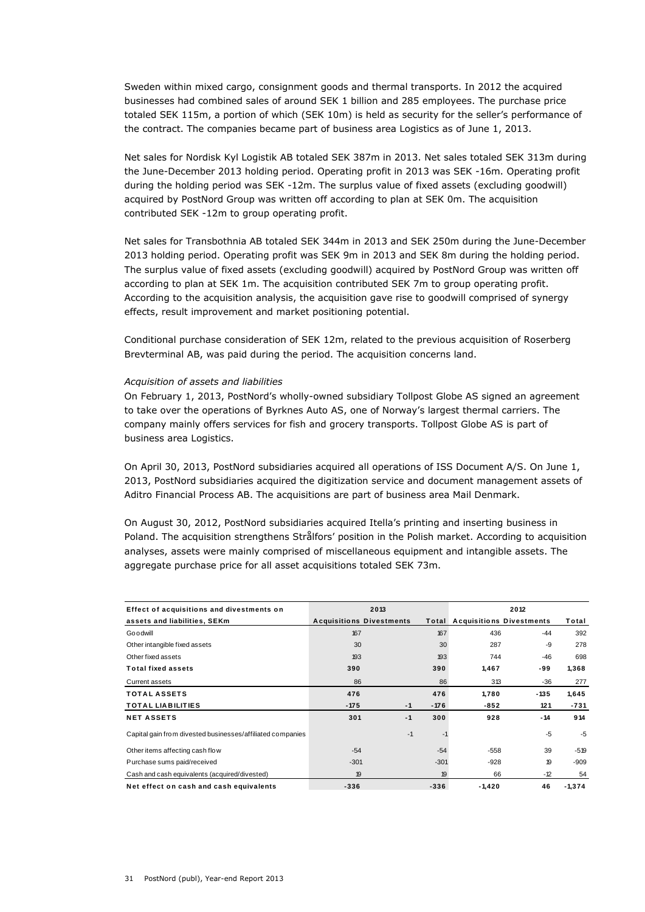Sweden within mixed cargo, consignment goods and thermal transports. In 2012 the acquired businesses had combined sales of around SEK 1 billion and 285 employees. The purchase price totaled SEK 115m, a portion of which (SEK 10m) is held as security for the seller's performance of the contract. The companies became part of business area Logistics as of June 1, 2013.

Net sales for Nordisk Kyl Logistik AB totaled SEK 387m in 2013. Net sales totaled SEK 313m during the June-December 2013 holding period. Operating profit in 2013 was SEK -16m. Operating profit during the holding period was SEK -12m. The surplus value of fixed assets (excluding goodwill) acquired by PostNord Group was written off according to plan at SEK 0m. The acquisition contributed SEK -12m to group operating profit.

Net sales for Transbothnia AB totaled SEK 344m in 2013 and SEK 250m during the June-December 2013 holding period. Operating profit was SEK 9m in 2013 and SEK 8m during the holding period. The surplus value of fixed assets (excluding goodwill) acquired by PostNord Group was written off according to plan at SEK 1m. The acquisition contributed SEK 7m to group operating profit. According to the acquisition analysis, the acquisition gave rise to goodwill comprised of synergy effects, result improvement and market positioning potential.

Conditional purchase consideration of SEK 12m, related to the previous acquisition of Roserberg Brevterminal AB, was paid during the period. The acquisition concerns land.

# *Acquisition of assets and liabilities*

On February 1, 2013, PostNord's wholly-owned subsidiary Tollpost Globe AS signed an agreement to take over the operations of Byrknes Auto AS, one of Norway's largest thermal carriers. The company mainly offers services for fish and grocery transports. Tollpost Globe AS is part of business area Logistics.

On April 30, 2013, PostNord subsidiaries acquired all operations of ISS Document A/S. On June 1, 2013, PostNord subsidiaries acquired the digitization service and document management assets of Aditro Financial Process AB. The acquisitions are part of business area Mail Denmark.

On August 30, 2012, PostNord subsidiaries acquired Itella's printing and inserting business in Poland. The acquisition strengthens Strålfors' position in the Polish market. According to acquisition analyses, assets were mainly comprised of miscellaneous equipment and intangible assets. The aggregate purchase price for all asset acquisitions totaled SEK 73m.

| Effect of acquisitions and divestments on                  |                                          | 2013 |        | 2012                            |        |          |  |
|------------------------------------------------------------|------------------------------------------|------|--------|---------------------------------|--------|----------|--|
| assets and liabilities, SEKm                               | <b>Acquisitions Divestments</b><br>Total |      |        | <b>Acquisitions Divestments</b> |        | Total    |  |
| Goodwill                                                   | 167                                      |      | 167    | 436                             | $-44$  | 392      |  |
| Other intangible fixed assets                              | 30                                       |      | 30     | 287                             | $-9$   | 278      |  |
| Other fixed assets                                         | 193                                      |      | 193    | 744                             | $-46$  | 698      |  |
| <b>Total fixed assets</b>                                  | 390                                      |      | 390    | 1,467                           | -99    | 1,368    |  |
| Current assets                                             | 86                                       |      | 86     | 313                             | $-36$  | 277      |  |
| <b>TOTAL ASSETS</b>                                        | 476                                      |      | 476    | 1,780                           | $-135$ | 1,645    |  |
| <b>TOTAL LIABILITIES</b>                                   | $-175$                                   | $-1$ | $-176$ | $-852$                          | 121    | $-731$   |  |
| <b>NET ASSETS</b>                                          | 301                                      | $-1$ | 300    | 928                             | - 14   | 914      |  |
| Capital gain from divested businesses/affiliated companies |                                          | $-1$ | -1     |                                 | $-5$   | $-5$     |  |
| Other items affecting cash flow                            | $-54$                                    |      | $-54$  | $-558$                          | 39     | $-519$   |  |
| Purchase sums paid/received                                | $-301$                                   |      | $-301$ | $-928$                          | 19     | $-909$   |  |
| Cash and cash equivalents (acquired/divested)              | 19                                       |      | 19     | 66                              | $-12$  | 54       |  |
| Net effect on cash and cash equivalents                    | $-336$                                   |      | $-336$ | $-1,420$                        | 46     | $-1,374$ |  |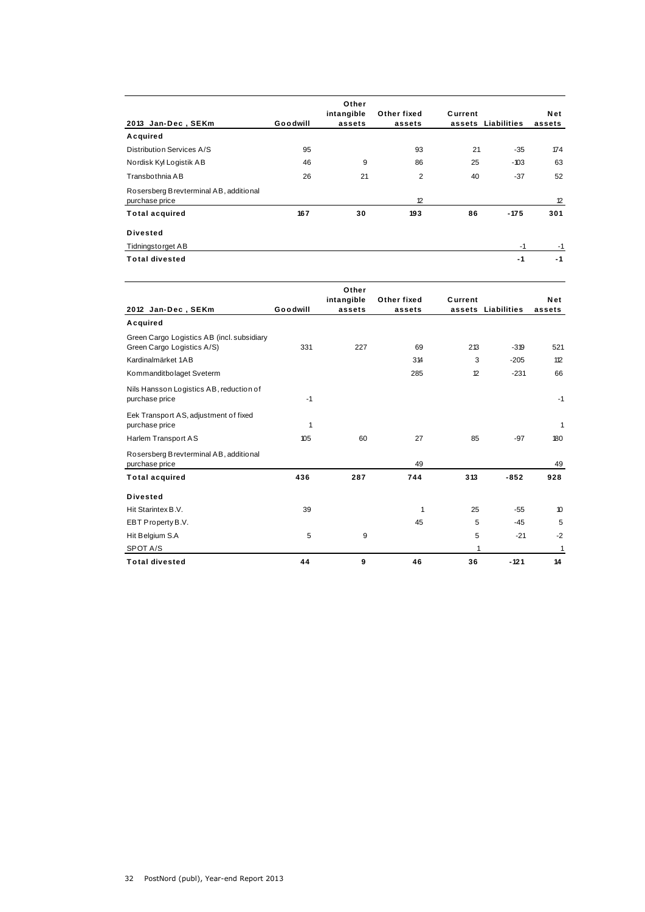| 2013 Jan-Dec, SEKm                                       | Goodwill | Other<br>intangible<br>assets | Other fixed<br>assets | Current<br>assets | Liabilities | Net<br>assets |
|----------------------------------------------------------|----------|-------------------------------|-----------------------|-------------------|-------------|---------------|
| Acquired                                                 |          |                               |                       |                   |             |               |
| Distribution Services A/S                                | 95       |                               | 93                    | 21                | $-35$       | 174           |
| Nordisk Kyl Logistik AB                                  | 46       | 9                             | 86                    | 25                | $-103$      | 63            |
| Transbothnia AB                                          | 26       | 21                            | $\overline{2}$        | 40                | $-37$       | 52            |
| Rosersberg Brevterminal AB, additional<br>purchase price |          |                               | 12                    |                   |             | 12            |
| <b>Total acquired</b>                                    | 167      | 30                            | 193                   | 86                | $-175$      | 301           |
| <b>Divested</b>                                          |          |                               |                       |                   |             |               |
| Tidningstorget AB                                        |          |                               |                       |                   | $-1$        | $-1$          |
| <b>Total divested</b>                                    |          |                               |                       |                   | $-1$        | $-1$          |

| 2012 Jan-Dec, SEKm                                                       | Goodwill | Other<br>intangible<br>assets | Other fixed<br>assets | Current | assets Liabilities | Net<br>assets |
|--------------------------------------------------------------------------|----------|-------------------------------|-----------------------|---------|--------------------|---------------|
| Acquired                                                                 |          |                               |                       |         |                    |               |
| Green Cargo Logistics AB (incl. subsidiary<br>Green Cargo Logistics A/S) | 331      | 227                           | 69                    | 213     | $-319$             | 521           |
| Kardinalmärket 1AB                                                       |          |                               | 314                   | 3       | $-205$             | 112           |
| Kommanditbolaget Sveterm                                                 |          |                               | 285                   | 12      | $-231$             | 66            |
| Nils Hansson Logistics AB, reduction of<br>purchase price                | $-1$     |                               |                       |         |                    | $-1$          |
| Eek Transport AS, adjustment of fixed<br>purchase price                  | 1        |                               |                       |         |                    | 1             |
| Harlem Transport AS                                                      | 105      | 60                            | 27                    | 85      | $-97$              | 180           |
| Rosersberg Brevterminal AB, additional<br>purchase price                 |          |                               | 49                    |         |                    | 49            |
| <b>Total acquired</b>                                                    | 436      | 287                           | 744                   | 313     | $-852$             | 928           |
| <b>Divested</b>                                                          |          |                               |                       |         |                    |               |
| Hit Starintex B.V.                                                       | 39       |                               | 1                     | 25      | $-55$              | 10            |
| EBT Property B.V.                                                        |          |                               | 45                    | 5       | $-45$              | 5             |
| Hit Belgium S.A                                                          | 5        | 9                             |                       | 5       | $-21$              | $-2$          |
| SPOT A/S                                                                 |          |                               |                       | 1       |                    | 1             |
| <b>Total divested</b>                                                    | 44       | 9                             | 46                    | 36      | $-121$             | 14            |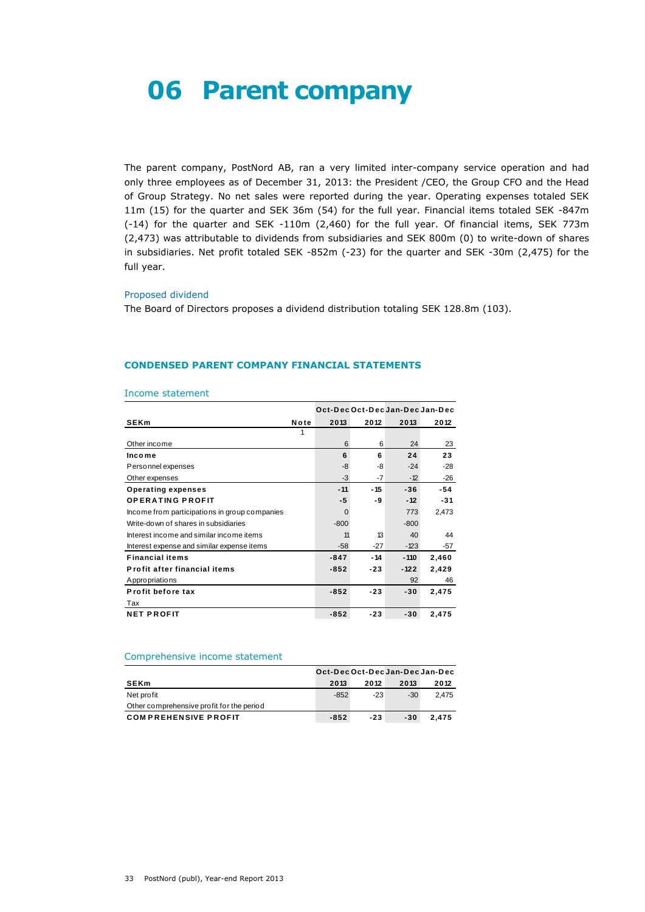# **06 Parent company**

The parent company, PostNord AB, ran a very limited inter-company service operation and had only three employees as of December 31, 2013: the President /CEO, the Group CFO and the Head of Group Strategy. No net sales were reported during the year. Operating expenses totaled SEK 11m (15) for the quarter and SEK 36m (54) for the full year. Financial items totaled SEK -847m (-14) for the quarter and SEK -110m (2,460) for the full year. Of financial items, SEK 773m (2,473) was attributable to dividends from subsidiaries and SEK 800m (0) to write-down of shares in subsidiaries. Net profit totaled SEK -852m (-23) for the quarter and SEK -30m (2,475) for the full year.

#### Proposed dividend

The Board of Directors proposes a dividend distribution totaling SEK 128.8m (103).

# **CONDENSED PARENT COMPANY FINANCIAL STATEMENTS**

| Income statement                              |      |                                 |       |        |       |
|-----------------------------------------------|------|---------------------------------|-------|--------|-------|
|                                               |      | Oct-Dec Oct-Dec Jan-Dec Jan-Dec |       |        |       |
| <b>SEKm</b>                                   | Note | 2013                            | 2012  | 2013   | 2012  |
|                                               |      |                                 |       |        |       |
| Other income                                  |      | 6                               | 6     | 24     | 23    |
| Income                                        |      | 6                               | 6     | 24     | 23    |
| Personnel expenses                            |      | -8                              | -8    | $-24$  | $-28$ |
| Other expenses                                |      | $-3$                            | -7    | $-12$  | $-26$ |
| <b>Operating expenses</b>                     |      | $-11$                           | - 15  | $-36$  | -54   |
| <b>OPERATING PROFIT</b>                       |      | -5                              | -9    | $-12$  | $-31$ |
| Income from participations in group companies |      | $\Omega$                        |       | 773    | 2,473 |
| Write-down of shares in subsidiaries          |      | $-800$                          |       | $-800$ |       |
| Interest income and similar income items      |      | 11                              | 13    | 40     | 44    |
| Interest expense and similar expense items    |      | $-58$                           | $-27$ | $-123$ | -57   |
| <b>Financial items</b>                        |      | $-847$                          | $-14$ | $-110$ | 2,460 |
| Profit after financial items                  |      | $-852$                          | $-23$ | $-122$ | 2,429 |
| Appropriations                                |      |                                 |       | 92     | 46    |
| Profit before tax                             |      | $-852$                          | $-23$ | $-30$  | 2,475 |
| Tax                                           |      |                                 |       |        |       |
| <b>NET PROFIT</b>                             |      | $-852$                          | $-23$ | $-30$  | 2,475 |

#### Income statement

## Comprehensive income statement

| Comprehensive income statement            |        |       |       |                                 |  |  |  |
|-------------------------------------------|--------|-------|-------|---------------------------------|--|--|--|
|                                           |        |       |       | Oct-Dec Oct-Dec Jan-Dec Jan-Dec |  |  |  |
| <b>SEKm</b>                               | 2013   | 2012  | 2013  | 2012                            |  |  |  |
| Net profit                                | $-852$ | $-23$ | $-30$ | 2.475                           |  |  |  |
| Other comprehensive profit for the period |        |       |       |                                 |  |  |  |
| <b>COMPREHENSIVE PROFIT</b>               | $-852$ | $-23$ | $-30$ | 2.475                           |  |  |  |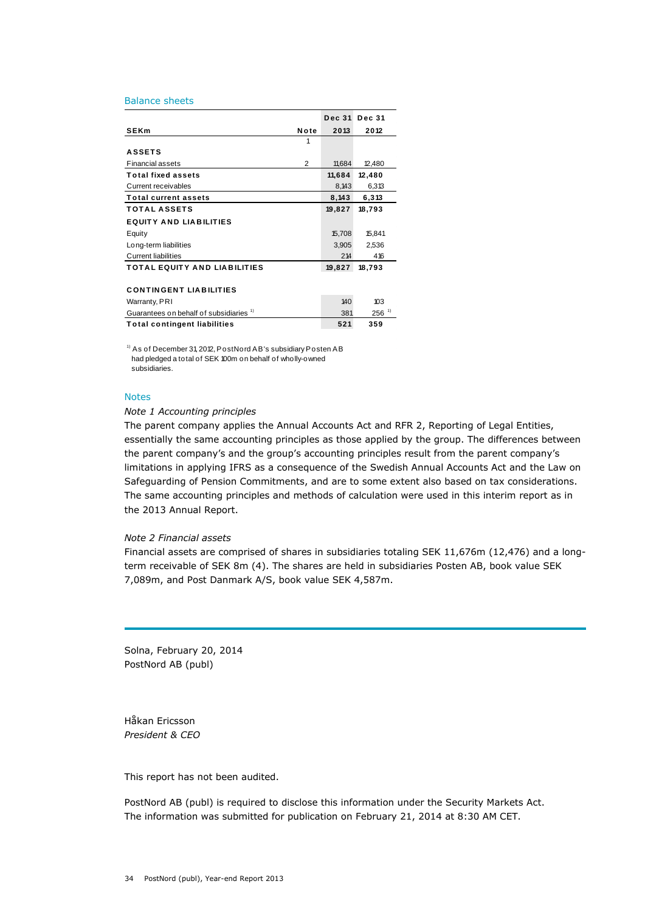#### Balance sheets

| Dalatice Stieels                                   |                |               |                     |
|----------------------------------------------------|----------------|---------------|---------------------|
|                                                    |                | <b>Dec 31</b> | <b>Dec 31</b>       |
| <b>SEKm</b>                                        | Note           | 2013          | 2012                |
|                                                    | 1              |               |                     |
| <b>ASSETS</b>                                      |                |               |                     |
| <b>Financial assets</b>                            | $\overline{2}$ | 11,684        | 12,480              |
| <b>Total fixed assets</b>                          |                | 11,684        | 12,480              |
| Current receivables                                |                | 8,143         | 6,313               |
| <b>Total current assets</b>                        |                | 8,143         | 6,313               |
| <b>TOTAL ASSETS</b>                                |                | 19,827        | 18,793              |
| <b>EQUITY AND LIABILITIES</b>                      |                |               |                     |
| Equity                                             |                | 15,708        | 15,841              |
| Long-term liabilities                              |                | 3,905         | 2,536               |
| <b>Current liabilities</b>                         |                | 214           | 416                 |
| <b>TOTAL EQUITY AND LIABILITIES</b>                |                | 19,827        | 18,793              |
|                                                    |                |               |                     |
| <b>CONTINGENT LIABILITIES</b>                      |                |               |                     |
| Warranty, PRI                                      |                | 140           | 103                 |
| Guarantees on behalf of subsidiaries <sup>1)</sup> |                | 381           | $256$ <sup>1)</sup> |
| <b>Total contingent liabilities</b>                |                | 521           | 359                 |
|                                                    |                |               |                     |

<sup>1)</sup> As of December 31, 2012, PostNord AB's subsidiary Posten AB had pledged a total of SEK 100m on behalf of wholly-owned subsidiaries.

# Notes

#### *Note 1 Accounting principles*

The parent company applies the Annual Accounts Act and RFR 2, Reporting of Legal Entities, essentially the same accounting principles as those applied by the group. The differences between the parent company's and the group's accounting principles result from the parent company's limitations in applying IFRS as a consequence of the Swedish Annual Accounts Act and the Law on Safeguarding of Pension Commitments, and are to some extent also based on tax considerations. The same accounting principles and methods of calculation were used in this interim report as in the 2013 Annual Report.

### *Note 2 Financial assets*

Financial assets are comprised of shares in subsidiaries totaling SEK 11,676m (12,476) and a longterm receivable of SEK 8m (4). The shares are held in subsidiaries Posten AB, book value SEK 7,089m, and Post Danmark A/S, book value SEK 4,587m.

Solna, February 20, 2014 PostNord AB (publ)

Håkan Ericsson *President & CEO*

This report has not been audited.

PostNord AB (publ) is required to disclose this information under the Security Markets Act. The information was submitted for publication on February 21, 2014 at 8:30 AM CET.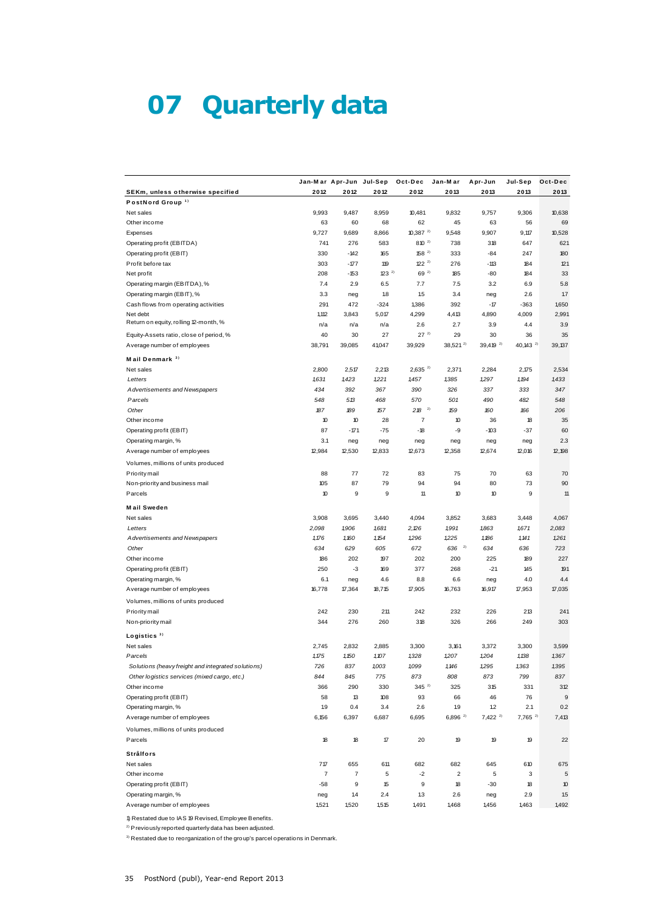# **07 Quarterly data**

|                                                                        |                | Jan-Mar Apr-Jun         | Jul-Sep         | Oct-Dec                | Jan-Mar              | Apr-Jun             | Jul-Sep             | Oct-Dec    |
|------------------------------------------------------------------------|----------------|-------------------------|-----------------|------------------------|----------------------|---------------------|---------------------|------------|
| SEKm, unless otherwise specified                                       | 2012           | 2012                    | 2012            | 2012                   | 2013                 | 2013                | 2013                | 2013       |
| PostNord Group <sup>1)</sup>                                           |                |                         |                 |                        |                      |                     |                     |            |
| Net sales                                                              | 9,993          | 9,487                   | 8,959           | 10,481                 | 9,832                | 9,757               | 9,306               | 10,638     |
| Other income                                                           | 63             | 60                      | 68              | 62                     | 45                   | 63                  | 56                  | 69         |
| Expenses                                                               | 9,727          | 9,689                   | 8,866           | $10,387$ <sup>2)</sup> | 9,548                | 9,907               | 9,117               | 10,528     |
| Operating profit (EBITDA)                                              | 741            | 276                     | 583             | $810^{-2}$             | 738                  | 318                 | 647                 | 621        |
| Operating profit (EBIT)                                                | 330            | $-142$                  | 165             | $158^{2}$              | 333                  | $-84$               | 247                 | 180        |
| Profit before tax                                                      | 303            | $-177$                  | 119<br>$23^{2}$ | $122^{2}$<br>$69^{2}$  | 276                  | $-113$              | 184                 | 121        |
| Net profit                                                             | 208            | $-153$                  |                 |                        | 185                  | -80                 | 184                 | 33         |
| Operating margin (EBITDA), %                                           | 7.4            | 2.9                     | 6.5             | 7.7                    | 7.5                  | 3.2                 | 6.9                 | 5.8<br>1.7 |
| Operating margin (EBIT), %                                             | 3.3            | neg                     | 1.8<br>$-324$   | 1.5                    | 3.4                  | neg<br>$-17$        | 2.6                 |            |
| Cash flows from operating activities                                   | 291            | 472                     |                 | 1,386                  | 392                  |                     | $-363$              | 1,650      |
| Net debt<br>Return on equity, rolling 12-month, %                      | 1,112          | 3,843                   | 5,017           | 4,299                  | 4,413                | 4,890               | 4,009               | 2,991      |
|                                                                        | n/a<br>40      | n/a<br>30               | n/a<br>27       | 2.6<br>$27^{2}$        | 2.7<br>29            | 3.9<br>30           | 4.4<br>36           | 3.9<br>35  |
| Equity-Assets ratio, close of period, %<br>Average number of employees | 38,791         | 39,085                  | 41,047          | 39,929                 | 38,521 <sup>2)</sup> | $39,419^{2}$        | 40,143 $^{2}$       | 39,137     |
| Mail Denmark <sup>3)</sup>                                             |                |                         |                 |                        |                      |                     |                     |            |
| Net sales                                                              | 2,800          | 2,517                   | 2,213           | $2,635^{2}$            | 2,371                | 2,284               | 2,175               | 2,534      |
| Letters                                                                | 1,631          | 1,423                   | 1221            | 1,457                  | 1,385                | 1,297               | 1,194               | 1,433      |
| Advertisements and Newspapers                                          | 434            | 392                     | 367             | 390                    | 326                  | 337                 | 333                 | 347        |
| Parcels                                                                | 548            | 513                     | 468             | 570                    | 501                  | 490                 | 482                 | 548        |
| Other                                                                  | 187            | 189                     | 157             | 2)<br>218              | 159                  | 160                 | 166                 | 206        |
| Other income                                                           | 10             | 10                      | 28              | 7                      | 10                   | 36                  | 18                  | 35         |
| Operating profit (EBIT)                                                | 87             | $-171$                  | $-75$           | $-18$                  | -9                   | $-103$              | $-37$               | 60         |
| Operating margin, %                                                    | 3.1            | neg                     | neg             | neg                    | neg                  | neg                 | neg                 | 2.3        |
| Average number of employees                                            | 12,984         | 12,530                  | 12,833          | 12,673                 | 12,358               | 12,674              | 12,016              | 12,198     |
| Volumes, millions of units produced                                    |                |                         |                 |                        |                      |                     |                     |            |
| Priority mail                                                          | 88             | 77                      | 72              | 83                     | 75                   | 70                  | 63                  | 70         |
| Non-priority and business mail                                         | 105            | 87                      | 79              | 94                     | 94                   | 80                  | 73                  | 90         |
| Parcels                                                                | 10             | 9                       | 9               | 11                     | 10                   | 10                  | 9                   | 11         |
|                                                                        |                |                         |                 |                        |                      |                     |                     |            |
| <b>Mail Sweden</b>                                                     |                |                         |                 |                        |                      |                     |                     |            |
| Net sales                                                              | 3,908          | 3,695                   | 3,440           | 4,094                  | 3,852                | 3,683               | 3,448               | 4,067      |
| Letters                                                                | 2,098          | 1,906                   | 1681            | 2,26                   | 1,991                | 1,863               | 1,671               | 2,083      |
| Advertisements and Newspapers                                          | 1,176          | 1,160                   | 1154            | 1,296                  | 1,225                | 1,186               | 1,141               | 1261       |
| Other                                                                  | 634            | 629                     | 605             | 672                    | $636^{2}$            | 634                 | 636                 | 723        |
| Other income                                                           | 186            | 202                     | 197             | 202                    | 200                  | 225                 | 189                 | 227        |
| Operating profit (EBIT)                                                | 250            | $-3$                    | 169             | 377                    | 268                  | $-21$               | 145                 | 191        |
| Operating margin, %                                                    | 6.1            | neg                     | 4.6             | 8.8                    | 6.6                  | neg                 | 4.0                 | 4.4        |
| Average number of employees                                            | 16,778         | 17,364                  | 18,715          | 17,905                 | 16,763               | 16,917              | 17.953              | 17,035     |
| Volumes, millions of units produced                                    |                |                         |                 |                        |                      |                     |                     |            |
| Priority mail                                                          | 242            | 230                     | 211             | 242                    | 232                  | 226                 | 213                 | 241        |
| Non-priority mail                                                      | 344            | 276                     | 260             | 318                    | 326                  | 266                 | 249                 | 303        |
| Logistics <sup>3)</sup>                                                |                |                         |                 |                        |                      |                     |                     |            |
| Net sales                                                              | 2,745          | 2,832                   | 2,885           | 3,300                  | 3,161                | 3,372               | 3,300               | 3,599      |
| Parcels                                                                | 1,175          | 1,150                   | 1,107           | 1,328                  | 1,207                | 1,204               | 1,138               | 1,367      |
| Solutions (heavy freight and integrated solutions)                     | 726            | 837                     | 1,003           | 1,099                  | 1,146                | 1,295               | 1,363               | 1,395      |
| Other logistics services (mixed cargo, etc.)                           | 844            | 845                     | 775             | 873                    | 808                  | 873                 | 799                 | 837        |
| Other income                                                           | 366            | 290                     | 330             | $345^{2}$              | 325                  | 315                 | 331                 | 312        |
| Operating profit (EBIT)                                                | 58             | 13                      | 108             | 93                     | 66                   | 46                  | 76                  | 9          |
| Operating margin, %                                                    | 1.9            | 0.4                     | 3.4             | 2.6                    | 1.9                  | 1.2                 | 2.1                 | 0.2        |
| Average number of employees                                            | 6,156          | 6,397                   | 6,687           | 6,695                  | $6,896^{2}$          | 7,422 <sup>2)</sup> | 7,765 <sup>2)</sup> | 7,413      |
| Volumes, millions of units produced                                    |                |                         |                 |                        |                      |                     |                     |            |
| Parcels                                                                | 18             | 18                      | 17              | 20                     | 19                   | 19                  | 19                  | 22         |
| Strålfors                                                              |                |                         |                 |                        |                      |                     |                     |            |
| Net sales                                                              | 717            | 655                     | 611             | 682                    | 682                  | 645                 | 610                 | 675        |
| Other income                                                           | $\overline{7}$ | $\overline{\mathbf{7}}$ | 5               | $-2$                   | $\overline{c}$       | 5                   | 3                   | 5          |
| Operating profit (EBIT)                                                | $-58$          | 9                       | 15              | 9                      | 18                   | -30                 | 18                  | 10         |
| Operating margin, %                                                    | neg            | 1.4                     | 2.4             | 13                     | 2.6                  | neg                 | 2.9                 | 1.5        |
| Average number of employees                                            | 1,521          | 1,520                   | 1,515           | 1,491                  | 1,468                | 1,456               | 1,463               | 1,492      |
|                                                                        |                |                         |                 |                        |                      |                     |                     |            |

1) Restated due to IAS 19 Revised, Employee Benefits.<br><sup>2)</sup> Previously reported quarterly data has been adjusted.

<sup>2)</sup> Previously reported quarterly data has been adjusted.<br><sup>3)</sup> Restated due to reorganization of the group's parcel operations in Denmark.